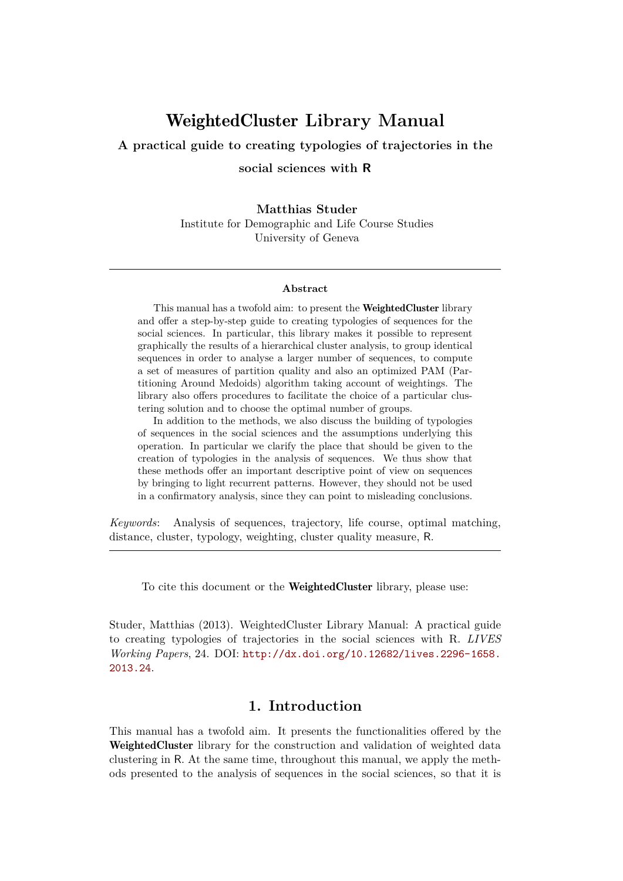# WeightedCluster **Library Manual**

**A practical guide to creating typologies of trajectories in the**

**social sciences with R**

**Matthias Studer** Institute for Demographic and Life Course Studies University of Geneva

#### **Abstract**

This manual has a twofold aim: to present the WeightedCluster library and offer a step-by-step guide to creating typologies of sequences for the social sciences. In particular, this library makes it possible to represent graphically the results of a hierarchical cluster analysis, to group identical sequences in order to analyse a larger number of sequences, to compute a set of measures of partition quality and also an optimized PAM (Partitioning Around Medoids) algorithm taking account of weightings. The library also offers procedures to facilitate the choice of a particular clustering solution and to choose the optimal number of groups.

In addition to the methods, we also discuss the building of typologies of sequences in the social sciences and the assumptions underlying this operation. In particular we clarify the place that should be given to the creation of typologies in the analysis of sequences. We thus show that these methods offer an important descriptive point of view on sequences by bringing to light recurrent patterns. However, they should not be used in a confirmatory analysis, since they can point to misleading conclusions.

*Keywords*: Analysis of sequences, trajectory, life course, optimal matching, distance, cluster, typology, weighting, cluster quality measure, R.

To cite this document or the WeightedCluster library, please use:

Studer, Matthias (2013). WeightedCluster Library Manual: A practical guide to creating typologies of trajectories in the social sciences with R. *LIVES Working Papers*, 24. DOI: [http://dx.doi.org/10.12682/lives.2296-1658.](http://dx.doi.org/10.12682/lives.2296-1658.2013.24) [2013.24](http://dx.doi.org/10.12682/lives.2296-1658.2013.24).

## **1. Introduction**

This manual has a twofold aim. It presents the functionalities offered by the WeightedCluster library for the construction and validation of weighted data clustering in R. At the same time, throughout this manual, we apply the methods presented to the analysis of sequences in the social sciences, so that it is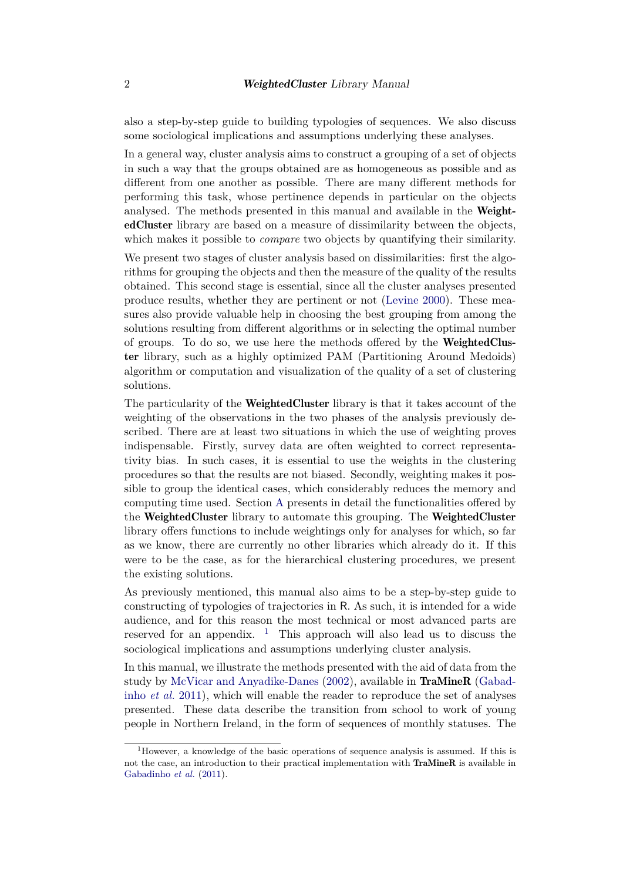also a step-by-step guide to building typologies of sequences. We also discuss some sociological implications and assumptions underlying these analyses.

In a general way, cluster analysis aims to construct a grouping of a set of objects in such a way that the groups obtained are as homogeneous as possible and as different from one another as possible. There are many different methods for performing this task, whose pertinence depends in particular on the objects analysed. The methods presented in this manual and available in the **Weight**edCluster library are based on a measure of dissimilarity between the objects, which makes it possible to *compare* two objects by quantifying their similarity.

We present two stages of cluster analysis based on dissimilarities: first the algorithms for grouping the objects and then the measure of the quality of the results obtained. This second stage is essential, since all the cluster analyses presented produce results, whether they are pertinent or not [\(Levine 2000\)](#page-26-0). These measures also provide valuable help in choosing the best grouping from among the solutions resulting from different algorithms or in selecting the optimal number of groups. To do so, we use here the methods offered by the **WeightedClus**ter library, such as a highly optimized PAM (Partitioning Around Medoids) algorithm or computation and visualization of the quality of a set of clustering solutions.

The particularity of the **WeightedCluster** library is that it takes account of the weighting of the observations in the two phases of the analysis previously described. There are at least two situations in which the use of weighting proves indispensable. Firstly, survey data are often weighted to correct representativity bias. In such cases, it is essential to use the weights in the clustering procedures so that the results are not biased. Secondly, weighting makes it possible to group the identical cases, which considerably reduces the memory and computing time used. Section [A](#page-27-0) presents in detail the functionalities offered by the WeightedCluster library to automate this grouping. The WeightedCluster library offers functions to include weightings only for analyses for which, so far as we know, there are currently no other libraries which already do it. If this were to be the case, as for the hierarchical clustering procedures, we present the existing solutions.

As previously mentioned, this manual also aims to be a step-by-step guide to constructing of typologies of trajectories in R. As such, it is intended for a wide audience, and for this reason the most technical or most advanced parts are reserved for an appendix.  $\frac{1}{1}$  $\frac{1}{1}$  $\frac{1}{1}$  This approach will also lead us to discuss the sociological implications and assumptions underlying cluster analysis.

In this manual, we illustrate the methods presented with the aid of data from the study by [McVicar and Anyadike-Danes](#page-26-1) [\(2002\)](#page-26-1), available in TraMineR [\(Gabad](#page-25-0)inho *[et al.](#page-25-0)* [2011\)](#page-25-0), which will enable the reader to reproduce the set of analyses presented. These data describe the transition from school to work of young people in Northern Ireland, in the form of sequences of monthly statuses. The

<span id="page-1-0"></span><sup>1</sup>However, a knowledge of the basic operations of sequence analysis is assumed. If this is not the case, an introduction to their practical implementation with TraMineR is available in [Gabadinho](#page-25-0) *et al.* [\(2011\)](#page-25-0).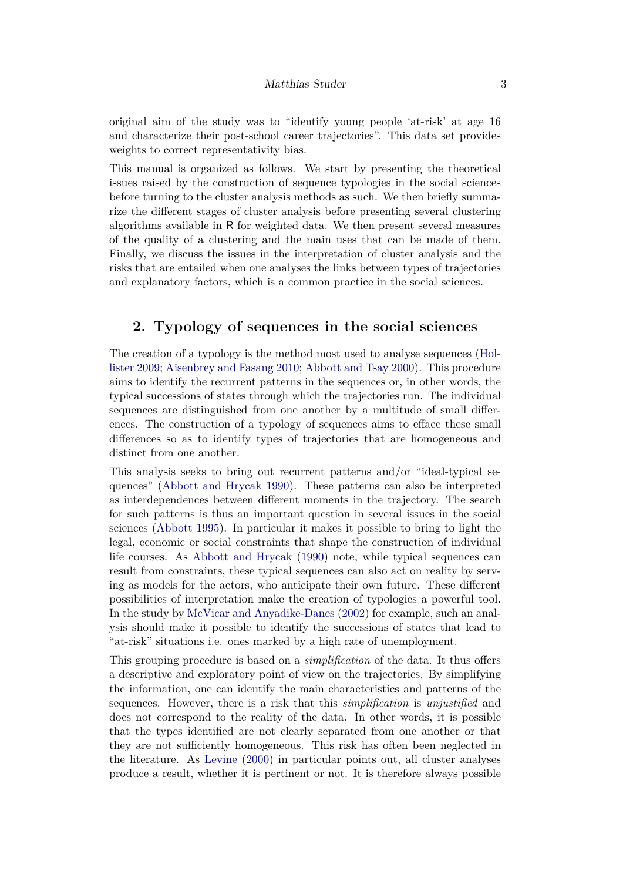original aim of the study was to "identify young people 'at-risk' at age 16 and characterize their post-school career trajectories". This data set provides weights to correct representativity bias.

This manual is organized as follows. We start by presenting the theoretical issues raised by the construction of sequence typologies in the social sciences before turning to the cluster analysis methods as such. We then briefly summarize the different stages of cluster analysis before presenting several clustering algorithms available in R for weighted data. We then present several measures of the quality of a clustering and the main uses that can be made of them. Finally, we discuss the issues in the interpretation of cluster analysis and the risks that are entailed when one analyses the links between types of trajectories and explanatory factors, which is a common practice in the social sciences.

# **2. Typology of sequences in the social sciences**

The creation of a typology is the method most used to analyse sequences [\(Hol](#page-26-2)[lister 2009;](#page-26-2) [Aisenbrey and Fasang 2010;](#page-25-1) [Abbott and Tsay 2000\)](#page-25-2). This procedure aims to identify the recurrent patterns in the sequences or, in other words, the typical successions of states through which the trajectories run. The individual sequences are distinguished from one another by a multitude of small differences. The construction of a typology of sequences aims to efface these small differences so as to identify types of trajectories that are homogeneous and distinct from one another.

This analysis seeks to bring out recurrent patterns and/or "ideal-typical sequences" [\(Abbott and Hrycak 1990\)](#page-25-3). These patterns can also be interpreted as interdependences between different moments in the trajectory. The search for such patterns is thus an important question in several issues in the social sciences [\(Abbott 1995\)](#page-25-4). In particular it makes it possible to bring to light the legal, economic or social constraints that shape the construction of individual life courses. As [Abbott and Hrycak](#page-25-3) [\(1990\)](#page-25-3) note, while typical sequences can result from constraints, these typical sequences can also act on reality by serving as models for the actors, who anticipate their own future. These different possibilities of interpretation make the creation of typologies a powerful tool. In the study by [McVicar and Anyadike-Danes](#page-26-1) [\(2002\)](#page-26-1) for example, such an analysis should make it possible to identify the successions of states that lead to "at-risk" situations i.e. ones marked by a high rate of unemployment.

This grouping procedure is based on a *simplification* of the data. It thus offers a descriptive and exploratory point of view on the trajectories. By simplifying the information, one can identify the main characteristics and patterns of the sequences. However, there is a risk that this *simplification* is *unjustified* and does not correspond to the reality of the data. In other words, it is possible that the types identified are not clearly separated from one another or that they are not sufficiently homogeneous. This risk has often been neglected in the literature. As [Levine](#page-26-0) [\(2000\)](#page-26-0) in particular points out, all cluster analyses produce a result, whether it is pertinent or not. It is therefore always possible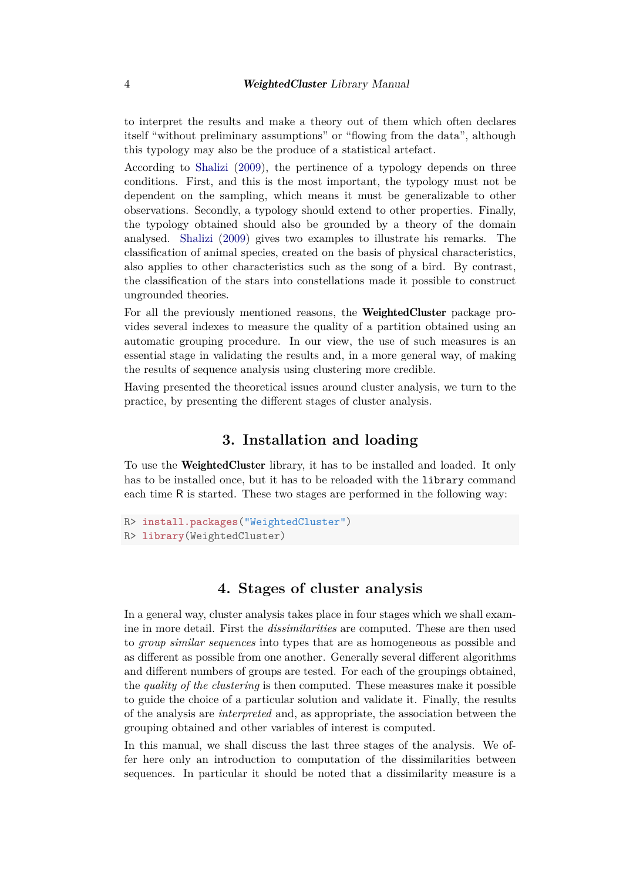to interpret the results and make a theory out of them which often declares itself "without preliminary assumptions" or "flowing from the data", although this typology may also be the produce of a statistical artefact.

According to [Shalizi](#page-27-1) [\(2009\)](#page-27-1), the pertinence of a typology depends on three conditions. First, and this is the most important, the typology must not be dependent on the sampling, which means it must be generalizable to other observations. Secondly, a typology should extend to other properties. Finally, the typology obtained should also be grounded by a theory of the domain analysed. [Shalizi](#page-27-1) [\(2009\)](#page-27-1) gives two examples to illustrate his remarks. The classification of animal species, created on the basis of physical characteristics, also applies to other characteristics such as the song of a bird. By contrast, the classification of the stars into constellations made it possible to construct ungrounded theories.

For all the previously mentioned reasons, the WeightedCluster package provides several indexes to measure the quality of a partition obtained using an automatic grouping procedure. In our view, the use of such measures is an essential stage in validating the results and, in a more general way, of making the results of sequence analysis using clustering more credible.

Having presented the theoretical issues around cluster analysis, we turn to the practice, by presenting the different stages of cluster analysis.

### **3. Installation and loading**

To use the WeightedCluster library, it has to be installed and loaded. It only has to be installed once, but it has to be reloaded with the library command each time R is started. These two stages are performed in the following way:

```
R> install.packages("WeightedCluster")
R> library(WeightedCluster)
```
# **4. Stages of cluster analysis**

In a general way, cluster analysis takes place in four stages which we shall examine in more detail. First the *dissimilarities* are computed. These are then used to *group similar sequences* into types that are as homogeneous as possible and as different as possible from one another. Generally several different algorithms and different numbers of groups are tested. For each of the groupings obtained, the *quality of the clustering* is then computed. These measures make it possible to guide the choice of a particular solution and validate it. Finally, the results of the analysis are *interpreted* and, as appropriate, the association between the grouping obtained and other variables of interest is computed.

In this manual, we shall discuss the last three stages of the analysis. We offer here only an introduction to computation of the dissimilarities between sequences. In particular it should be noted that a dissimilarity measure is a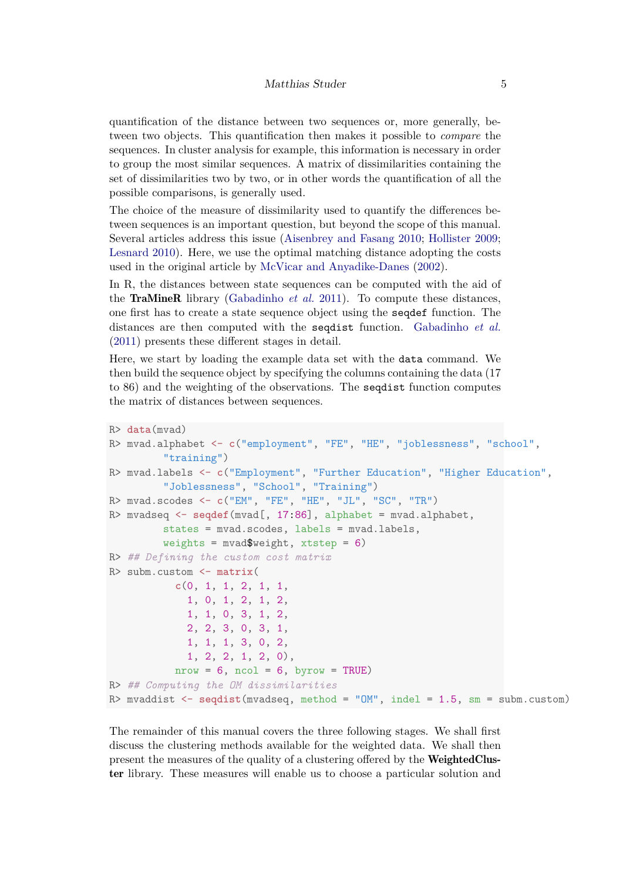quantification of the distance between two sequences or, more generally, between two objects. This quantification then makes it possible to *compare* the sequences. In cluster analysis for example, this information is necessary in order to group the most similar sequences. A matrix of dissimilarities containing the set of dissimilarities two by two, or in other words the quantification of all the possible comparisons, is generally used.

The choice of the measure of dissimilarity used to quantify the differences between sequences is an important question, but beyond the scope of this manual. Several articles address this issue [\(Aisenbrey and Fasang 2010;](#page-25-1) [Hollister 2009;](#page-26-2) [Lesnard 2010\)](#page-26-3). Here, we use the optimal matching distance adopting the costs used in the original article by [McVicar and Anyadike-Danes](#page-26-1) [\(2002\)](#page-26-1).

In R, the distances between state sequences can be computed with the aid of the TraMineR library [\(Gabadinho](#page-25-0) *et al.* [2011\)](#page-25-0). To compute these distances, one first has to create a state sequence object using the seqdef function. The distances are then computed with the seqdist function. [Gabadinho](#page-25-0) *et al.* [\(2011\)](#page-25-0) presents these different stages in detail.

Here, we start by loading the example data set with the data command. We then build the sequence object by specifying the columns containing the data (17 to 86) and the weighting of the observations. The seqdist function computes the matrix of distances between sequences.

```
R> data(mvad)
R> mvad.alphabet <- c("employment", "FE", "HE", "joblessness", "school",
         "training")
R> mvad.labels <- c("Employment", "Further Education", "Higher Education",
         "Joblessness", "School", "Training")
R> mvad.scodes <- c("EM", "FE", "HE", "JL", "SC", "TR")
R> mvadseq <- seqdef(mvad[, 17:86], alphabet = mvad.alphabet,
         states = mvad.scodes, labels = mvad.labels,
         weights = muvad$weight, xtstep = 6)
R> ## Defining the custom cost matrix
R> subm.custom <- matrix(
           c(0, 1, 1, 2, 1, 1,
             1, 0, 1, 2, 1, 2,
             1, 1, 0, 3, 1, 2,
             2, 2, 3, 0, 3, 1,
            1, 1, 1, 3, 0, 2,
             1, 2, 2, 1, 2, 0),
           nrow = 6, ncol = 6, byrow = TRUE)
R> ## Computing the OM dissimilarities
R> mvaddist <- seqdist(mvadseq, method = "OM", indel = 1.5, sm = subm.custom)
```
The remainder of this manual covers the three following stages. We shall first discuss the clustering methods available for the weighted data. We shall then present the measures of the quality of a clustering offered by the WeightedCluster library. These measures will enable us to choose a particular solution and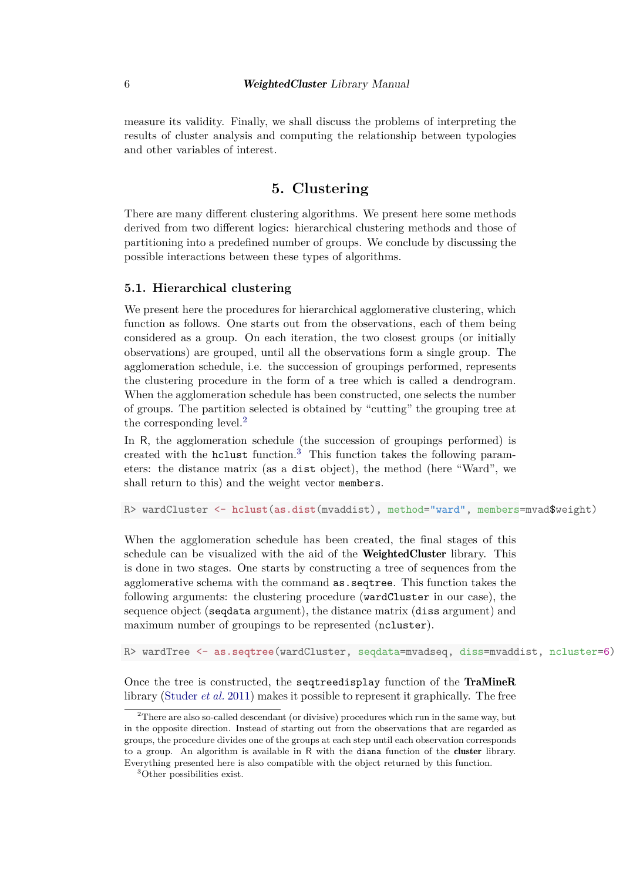measure its validity. Finally, we shall discuss the problems of interpreting the results of cluster analysis and computing the relationship between typologies and other variables of interest.

### **5. Clustering**

There are many different clustering algorithms. We present here some methods derived from two different logics: hierarchical clustering methods and those of partitioning into a predefined number of groups. We conclude by discussing the possible interactions between these types of algorithms.

#### **5.1. Hierarchical clustering**

We present here the procedures for hierarchical agglomerative clustering, which function as follows. One starts out from the observations, each of them being considered as a group. On each iteration, the two closest groups (or initially observations) are grouped, until all the observations form a single group. The agglomeration schedule, i.e. the succession of groupings performed, represents the clustering procedure in the form of a tree which is called a dendrogram. When the agglomeration schedule has been constructed, one selects the number of groups. The partition selected is obtained by "cutting" the grouping tree at the corresponding level.<sup>[2](#page-5-0)</sup>

In R, the agglomeration schedule (the succession of groupings performed) is created with the holiest function.<sup>[3](#page-5-1)</sup> This function takes the following parameters: the distance matrix (as a dist object), the method (here "Ward", we shall return to this) and the weight vector members.

R> wardCluster <- **hclust**(**as.dist**(mvaddist), method="ward", members=mvad\$weight)

When the agglomeration schedule has been created, the final stages of this schedule can be visualized with the aid of the **WeightedCluster** library. This is done in two stages. One starts by constructing a tree of sequences from the agglomerative schema with the command as.seqtree. This function takes the following arguments: the clustering procedure (wardCluster in our case), the sequence object (seqdata argument), the distance matrix (diss argument) and maximum number of groupings to be represented (ncluster).

R> wardTree <- **as.seqtree**(wardCluster, seqdata=mvadseq, diss=mvaddist, ncluster=6)

Once the tree is constructed, the seqtreedisplay function of the TraMineR library [\(Studer](#page-27-2) *et al.* [2011\)](#page-27-2) makes it possible to represent it graphically. The free

<span id="page-5-0"></span><sup>2</sup>There are also so-called descendant (or divisive) procedures which run in the same way, but in the opposite direction. Instead of starting out from the observations that are regarded as groups, the procedure divides one of the groups at each step until each observation corresponds to a group. An algorithm is available in R with the diana function of the cluster library. Everything presented here is also compatible with the object returned by this function.

<span id="page-5-1"></span><sup>3</sup>Other possibilities exist.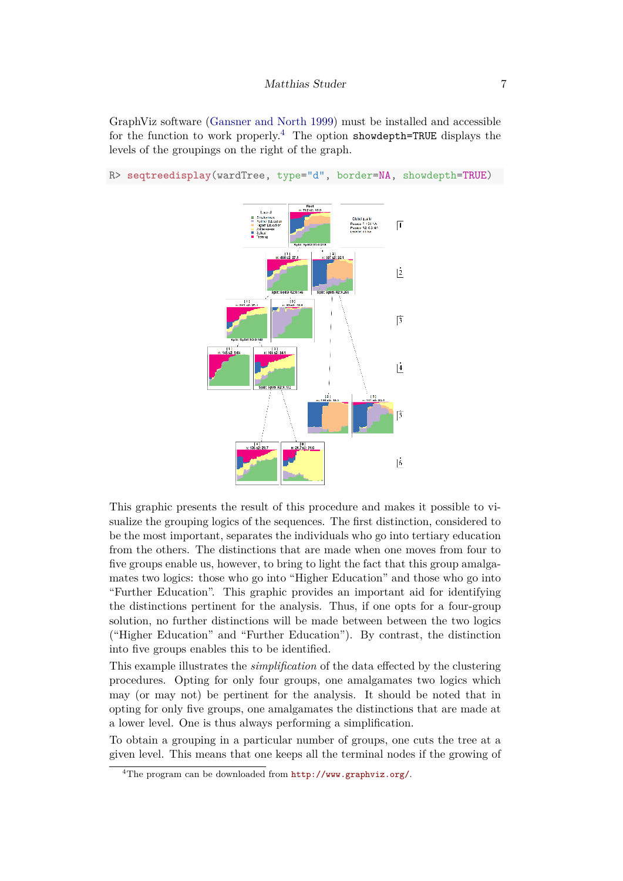GraphViz software [\(Gansner and North 1999\)](#page-25-5) must be installed and accessible for the function to work properly.<sup>[4](#page-6-0)</sup> The option showdepth=TRUE displays the levels of the groupings on the right of the graph.



R> **seqtreedisplay**(wardTree, type="d", border=NA, showdepth=TRUE)

This graphic presents the result of this procedure and makes it possible to visualize the grouping logics of the sequences. The first distinction, considered to be the most important, separates the individuals who go into tertiary education from the others. The distinctions that are made when one moves from four to five groups enable us, however, to bring to light the fact that this group amalgamates two logics: those who go into "Higher Education" and those who go into "Further Education". This graphic provides an important aid for identifying the distinctions pertinent for the analysis. Thus, if one opts for a four-group solution, no further distinctions will be made between between the two logics ("Higher Education" and "Further Education"). By contrast, the distinction into five groups enables this to be identified.

This example illustrates the *simplification* of the data effected by the clustering procedures. Opting for only four groups, one amalgamates two logics which may (or may not) be pertinent for the analysis. It should be noted that in opting for only five groups, one amalgamates the distinctions that are made at a lower level. One is thus always performing a simplification.

To obtain a grouping in a particular number of groups, one cuts the tree at a given level. This means that one keeps all the terminal nodes if the growing of

<span id="page-6-0"></span><sup>&</sup>lt;sup>4</sup>The program can be downloaded from <http://www.graphviz.org/>.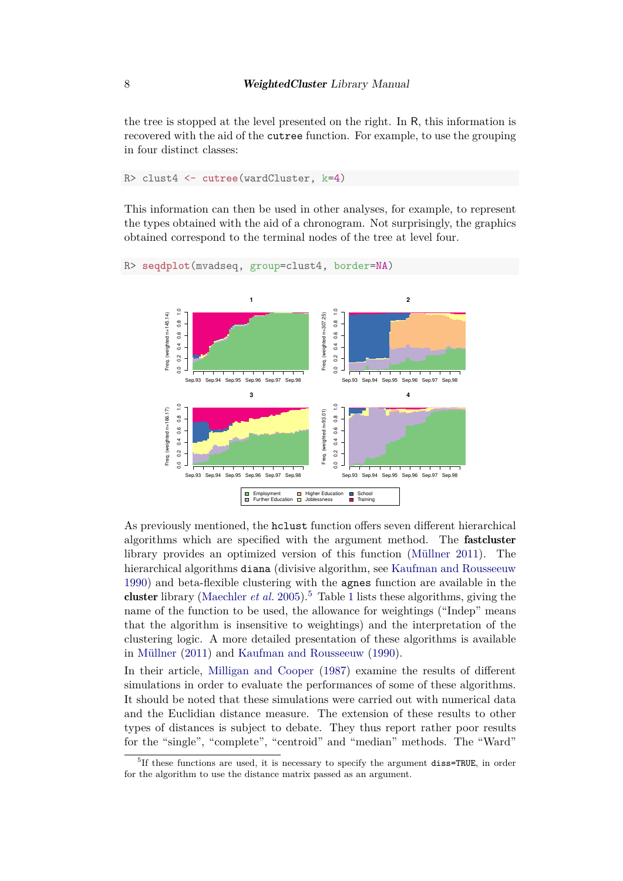the tree is stopped at the level presented on the right. In R, this information is recovered with the aid of the cutree function. For example, to use the grouping in four distinct classes:

```
R> clust4 <- cutree(wardCluster, k=4)
```
This information can then be used in other analyses, for example, to represent the types obtained with the aid of a chronogram. Not surprisingly, the graphics obtained correspond to the terminal nodes of the tree at level four.



As previously mentioned, the hclust function offers seven different hierarchical algorithms which are specified with the argument method. The fastcluster library provides an optimized version of this function [\(Müllner 2011\)](#page-26-4). The hierarchical algorithms diana (divisive algorithm, see [Kaufman and Rousseeuw](#page-26-5) [1990\)](#page-26-5) and beta-flexible clustering with the agnes function are available in the cluster library [\(Maechler](#page-26-6) *et al.* [2005\)](#page-26-6).<sup>[5](#page-7-0)</sup> Table [1](#page-8-0) lists these algorithms, giving the name of the function to be used, the allowance for weightings ("Indep" means that the algorithm is insensitive to weightings) and the interpretation of the clustering logic. A more detailed presentation of these algorithms is available in [Müllner](#page-26-4) [\(2011\)](#page-26-4) and [Kaufman and Rousseeuw](#page-26-5) [\(1990\)](#page-26-5).

In their article, [Milligan and Cooper](#page-26-7) [\(1987\)](#page-26-7) examine the results of different simulations in order to evaluate the performances of some of these algorithms. It should be noted that these simulations were carried out with numerical data and the Euclidian distance measure. The extension of these results to other types of distances is subject to debate. They thus report rather poor results for the "single", "complete", "centroid" and "median" methods. The "Ward"

<span id="page-7-0"></span><sup>&</sup>lt;sup>5</sup>If these functions are used, it is necessary to specify the argument diss=TRUE, in order for the algorithm to use the distance matrix passed as an argument.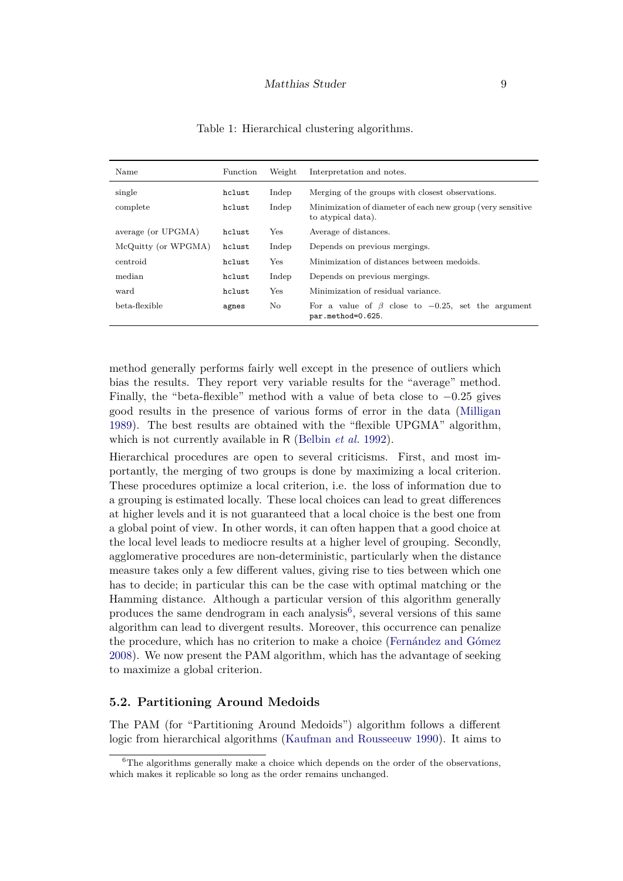| Name                | Function | Weight | Interpretation and notes.                                                        |  |  |  |  |  |
|---------------------|----------|--------|----------------------------------------------------------------------------------|--|--|--|--|--|
| single              | hclust   | Indep  | Merging of the groups with closest observations.                                 |  |  |  |  |  |
| complete            | hclust   | Indep  | Minimization of diameter of each new group (very sensitive<br>to atypical data). |  |  |  |  |  |
| average (or UPGMA)  | hclust   | Yes    | Average of distances.                                                            |  |  |  |  |  |
| McQuitty (or WPGMA) | hclust   | Indep  | Depends on previous mergings.                                                    |  |  |  |  |  |
| centroid            | hclust   | Yes    | Minimization of distances between medoids.                                       |  |  |  |  |  |
| median              | hclust   | Indep  | Depends on previous mergings.                                                    |  |  |  |  |  |
| ward                | hclust   | Yes    | Minimization of residual variance.                                               |  |  |  |  |  |
| beta-flexible       | agnes    | No     | For a value of $\beta$ close to $-0.25$ , set the argument<br>par.method=0.625.  |  |  |  |  |  |

<span id="page-8-0"></span>Table 1: Hierarchical clustering algorithms.

method generally performs fairly well except in the presence of outliers which bias the results. They report very variable results for the "average" method. Finally, the "beta-flexible" method with a value of beta close to −0*.*25 gives good results in the presence of various forms of error in the data [\(Milligan](#page-26-8) [1989\)](#page-26-8). The best results are obtained with the "flexible UPGMA" algorithm, which is not currently available in R [\(Belbin](#page-25-6) *et al.* [1992\)](#page-25-6).

Hierarchical procedures are open to several criticisms. First, and most importantly, the merging of two groups is done by maximizing a local criterion. These procedures optimize a local criterion, i.e. the loss of information due to a grouping is estimated locally. These local choices can lead to great differences at higher levels and it is not guaranteed that a local choice is the best one from a global point of view. In other words, it can often happen that a good choice at the local level leads to mediocre results at a higher level of grouping. Secondly, agglomerative procedures are non-deterministic, particularly when the distance measure takes only a few different values, giving rise to ties between which one has to decide; in particular this can be the case with optimal matching or the Hamming distance. Although a particular version of this algorithm generally produces the same dendrogram in each analysis<sup>[6](#page-8-1)</sup>, several versions of this same algorithm can lead to divergent results. Moreover, this occurrence can penalize the procedure, which has no criterion to make a choice [\(Fernández and Gómez](#page-25-7) [2008\)](#page-25-7). We now present the PAM algorithm, which has the advantage of seeking to maximize a global criterion.

#### **5.2. Partitioning Around Medoids**

The PAM (for "Partitioning Around Medoids") algorithm follows a different logic from hierarchical algorithms [\(Kaufman and Rousseeuw 1990\)](#page-26-5). It aims to

<span id="page-8-1"></span> $6$ The algorithms generally make a choice which depends on the order of the observations, which makes it replicable so long as the order remains unchanged.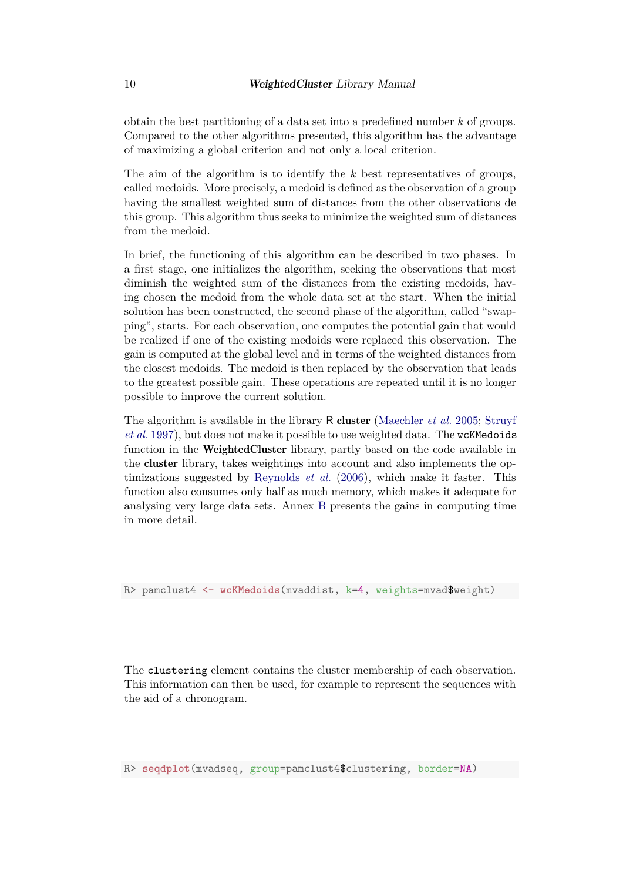obtain the best partitioning of a data set into a predefined number *k* of groups. Compared to the other algorithms presented, this algorithm has the advantage of maximizing a global criterion and not only a local criterion.

The aim of the algorithm is to identify the *k* best representatives of groups, called medoids. More precisely, a medoid is defined as the observation of a group having the smallest weighted sum of distances from the other observations de this group. This algorithm thus seeks to minimize the weighted sum of distances from the medoid.

In brief, the functioning of this algorithm can be described in two phases. In a first stage, one initializes the algorithm, seeking the observations that most diminish the weighted sum of the distances from the existing medoids, having chosen the medoid from the whole data set at the start. When the initial solution has been constructed, the second phase of the algorithm, called "swapping", starts. For each observation, one computes the potential gain that would be realized if one of the existing medoids were replaced this observation. The gain is computed at the global level and in terms of the weighted distances from the closest medoids. The medoid is then replaced by the observation that leads to the greatest possible gain. These operations are repeated until it is no longer possible to improve the current solution.

The algorithm is available in the library R cluster [\(Maechler](#page-26-6) *et al.* [2005;](#page-26-6) [Struyf](#page-27-3) *[et al.](#page-27-3)* [1997\)](#page-27-3), but does not make it possible to use weighted data. The wcKMedoids function in the **WeightedCluster** library, partly based on the code available in the cluster library, takes weightings into account and also implements the optimizations suggested by [Reynolds](#page-27-4) *et al.* [\(2006\)](#page-27-4), which make it faster. This function also consumes only half as much memory, which makes it adequate for analysing very large data sets. Annex [B](#page-29-0) presents the gains in computing time in more detail.

R> pamclust4 <- **wcKMedoids**(mvaddist, k=4, weights=mvad\$weight)

The clustering element contains the cluster membership of each observation. This information can then be used, for example to represent the sequences with the aid of a chronogram.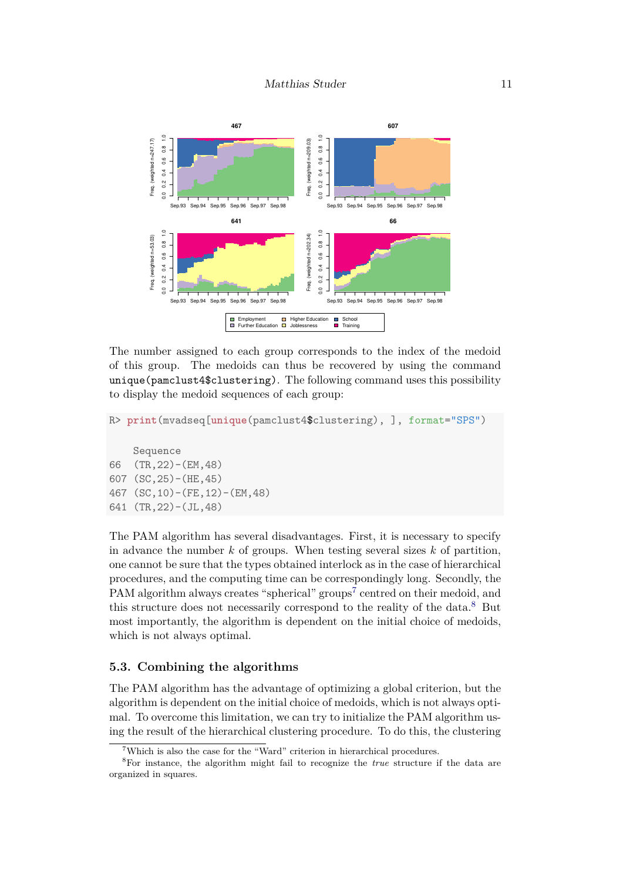

The number assigned to each group corresponds to the index of the medoid of this group. The medoids can thus be recovered by using the command unique(pamclust4\$clustering). The following command uses this possibility to display the medoid sequences of each group:

```
R> print(mvadseq[unique(pamclust4$clustering), ], format="SPS")
```

```
Sequence
66 (TR,22)-(EM,48)
607 (SC,25)-(HE,45)
467 (SC,10)-(FE,12)-(EM,48)
641 (TR,22)-(JL,48)
```
The PAM algorithm has several disadvantages. First, it is necessary to specify in advance the number *k* of groups. When testing several sizes *k* of partition, one cannot be sure that the types obtained interlock as in the case of hierarchical procedures, and the computing time can be correspondingly long. Secondly, the PAM algorithm always creates "spherical" groups<sup>[7](#page-10-0)</sup> centred on their medoid, and this structure does not necessarily correspond to the reality of the data.[8](#page-10-1) But most importantly, the algorithm is dependent on the initial choice of medoids, which is not always optimal.

### **5.3. Combining the algorithms**

The PAM algorithm has the advantage of optimizing a global criterion, but the algorithm is dependent on the initial choice of medoids, which is not always optimal. To overcome this limitation, we can try to initialize the PAM algorithm using the result of the hierarchical clustering procedure. To do this, the clustering

<span id="page-10-1"></span><span id="page-10-0"></span><sup>&</sup>lt;sup>7</sup>Which is also the case for the "Ward" criterion in hierarchical procedures.

<sup>8</sup>For instance, the algorithm might fail to recognize the *true* structure if the data are organized in squares.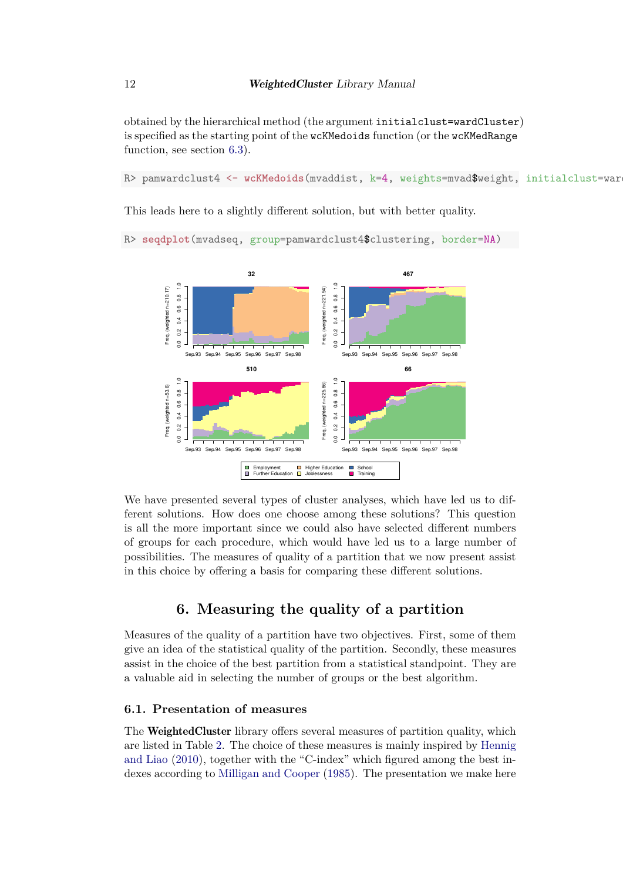obtained by the hierarchical method (the argument initialclust=wardCluster) is specified as the starting point of the wcKMedoids function (or the wcKMedRange function, see section [6.3\)](#page-15-0).

R> pamwardclust4 <- wcKMedoids(mvaddist, k=4, weights=mvad\$weight, initialclust=war

This leads here to a slightly different solution, but with better quality.



R> **seqdplot**(mvadseq, group=pamwardclust4\$clustering, border=NA)

We have presented several types of cluster analyses, which have led us to different solutions. How does one choose among these solutions? This question is all the more important since we could also have selected different numbers of groups for each procedure, which would have led us to a large number of possibilities. The measures of quality of a partition that we now present assist in this choice by offering a basis for comparing these different solutions.

# **6. Measuring the quality of a partition**

Measures of the quality of a partition have two objectives. First, some of them give an idea of the statistical quality of the partition. Secondly, these measures assist in the choice of the best partition from a statistical standpoint. They are a valuable aid in selecting the number of groups or the best algorithm.

### **6.1. Presentation of measures**

The WeightedCluster library offers several measures of partition quality, which are listed in Table [2.](#page-12-0) The choice of these measures is mainly inspired by [Hennig](#page-25-8) [and Liao](#page-25-8) [\(2010\)](#page-25-8), together with the "C-index" which figured among the best indexes according to [Milligan and Cooper](#page-26-9) [\(1985\)](#page-26-9). The presentation we make here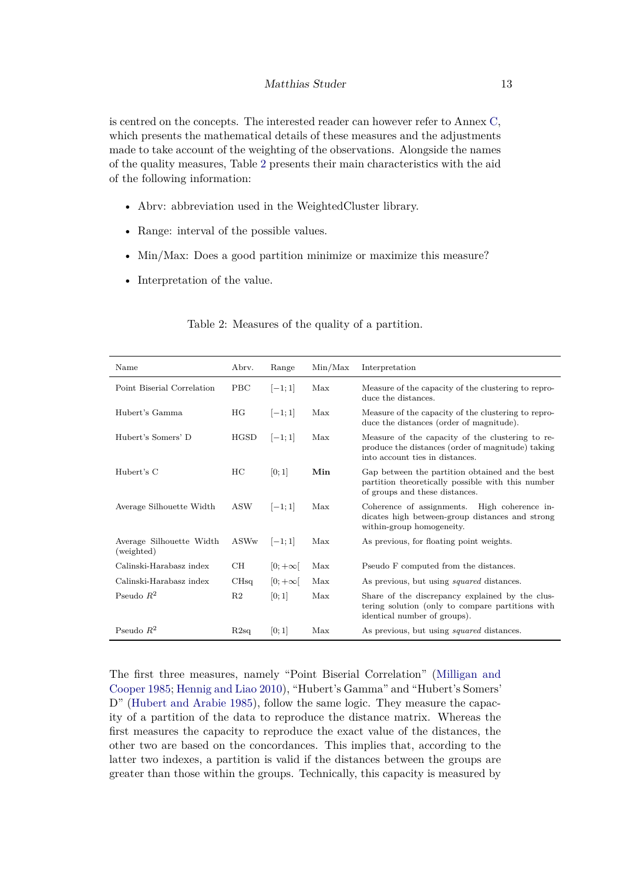#### Matthias Studer 13

is centred on the concepts. The interested reader can however refer to Annex [C,](#page-31-0) which presents the mathematical details of these measures and the adjustments made to take account of the weighting of the observations. Alongside the names of the quality measures, Table [2](#page-12-0) presents their main characteristics with the aid of the following information:

- Abrv: abbreviation used in the WeightedCluster library.
- Range: interval of the possible values.
- Min/Max: Does a good partition minimize or maximize this measure?
- Interpretation of the value.

| Name                                   | Abry.          | Range          | Min/Max | Interpretation                                                                                                                           |
|----------------------------------------|----------------|----------------|---------|------------------------------------------------------------------------------------------------------------------------------------------|
| Point Biserial Correlation             | <b>PBC</b>     | $[-1;1]$       | Max     | Measure of the capacity of the clustering to repro-<br>duce the distances.                                                               |
| Hubert's Gamma                         | HG             | $[-1;1]$       | Max     | Measure of the capacity of the clustering to repro-<br>duce the distances (order of magnitude).                                          |
| Hubert's Somers' D                     | <b>HGSD</b>    | $ -1;1 $       | Max     | Measure of the capacity of the clustering to re-<br>produce the distances (order of magnitude) taking<br>into account ties in distances. |
| Hubert's C                             | HC             | [0;1]          | Min     | Gap between the partition obtained and the best<br>partition theoretically possible with this number<br>of groups and these distances.   |
| Average Silhouette Width               | <b>ASW</b>     | $[-1;1]$       | Max     | Coherence of assignments. High coherence in-<br>dicates high between-group distances and strong<br>within-group homogeneity.             |
| Average Silhouette Width<br>(weighted) | ASWw           | $ -1;1 $       | Max     | As previous, for floating point weights.                                                                                                 |
| Calinski-Harabasz index                | CН             | $[0; +\infty[$ | Max     | Pseudo F computed from the distances.                                                                                                    |
| Calinski-Harabasz index                | CHsq           | $[0; +\infty[$ | Max     | As previous, but using <i>squared</i> distances.                                                                                         |
| Pseudo $R^2$                           | R <sub>2</sub> | [0;1]          | Max     | Share of the discrepancy explained by the clus-<br>tering solution (only to compare partitions with<br>identical number of groups).      |
| Pseudo $R^2$                           | R2sq           | [0; 1]         | Max     | As previous, but using <i>squared</i> distances.                                                                                         |

<span id="page-12-0"></span>Table 2: Measures of the quality of a partition.

The first three measures, namely "Point Biserial Correlation" [\(Milligan and](#page-26-9) [Cooper 1985;](#page-26-9) [Hennig and Liao 2010\)](#page-25-8), "Hubert's Gamma" and "Hubert's Somers' D" [\(Hubert and Arabie 1985\)](#page-26-10), follow the same logic. They measure the capacity of a partition of the data to reproduce the distance matrix. Whereas the first measures the capacity to reproduce the exact value of the distances, the other two are based on the concordances. This implies that, according to the latter two indexes, a partition is valid if the distances between the groups are greater than those within the groups. Technically, this capacity is measured by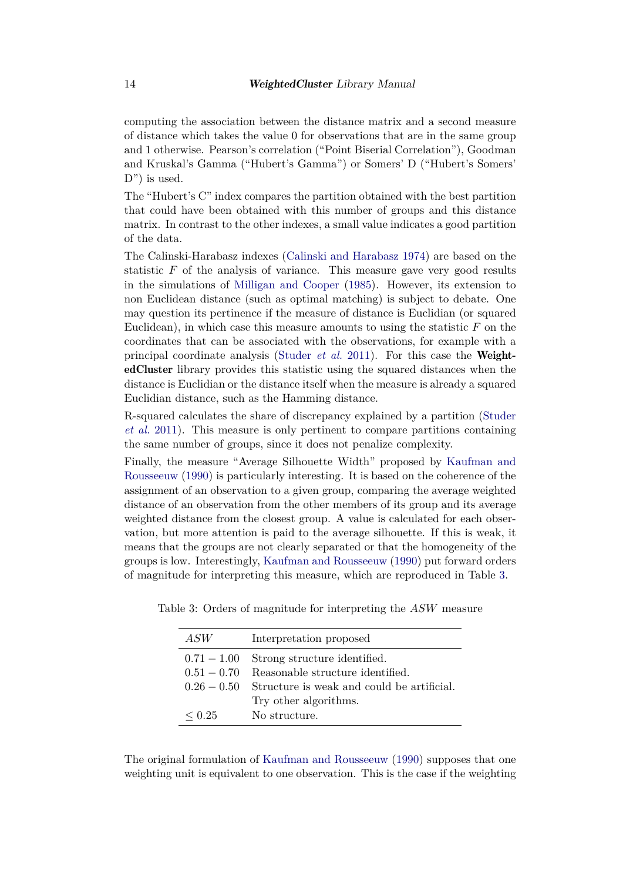computing the association between the distance matrix and a second measure of distance which takes the value 0 for observations that are in the same group and 1 otherwise. Pearson's correlation ("Point Biserial Correlation"), Goodman and Kruskal's Gamma ("Hubert's Gamma") or Somers' D ("Hubert's Somers' D") is used.

The "Hubert's C" index compares the partition obtained with the best partition that could have been obtained with this number of groups and this distance matrix. In contrast to the other indexes, a small value indicates a good partition of the data.

The Calinski-Harabasz indexes [\(Calinski and Harabasz 1974\)](#page-25-9) are based on the statistic *F* of the analysis of variance. This measure gave very good results in the simulations of [Milligan and Cooper](#page-26-9) [\(1985\)](#page-26-9). However, its extension to non Euclidean distance (such as optimal matching) is subject to debate. One may question its pertinence if the measure of distance is Euclidian (or squared Euclidean), in which case this measure amounts to using the statistic *F* on the coordinates that can be associated with the observations, for example with a principal coordinate analysis [\(Studer](#page-27-2) *et al.* [2011\)](#page-27-2). For this case the WeightedCluster library provides this statistic using the squared distances when the distance is Euclidian or the distance itself when the measure is already a squared Euclidian distance, such as the Hamming distance.

R-squared calculates the share of discrepancy explained by a partition [\(Studer](#page-27-2) *[et al.](#page-27-2)* [2011\)](#page-27-2). This measure is only pertinent to compare partitions containing the same number of groups, since it does not penalize complexity.

Finally, the measure "Average Silhouette Width" proposed by [Kaufman and](#page-26-5) [Rousseeuw](#page-26-5) [\(1990\)](#page-26-5) is particularly interesting. It is based on the coherence of the assignment of an observation to a given group, comparing the average weighted distance of an observation from the other members of its group and its average weighted distance from the closest group. A value is calculated for each observation, but more attention is paid to the average silhouette. If this is weak, it means that the groups are not clearly separated or that the homogeneity of the groups is low. Interestingly, [Kaufman and Rousseeuw](#page-26-5) [\(1990\)](#page-26-5) put forward orders of magnitude for interpreting this measure, which are reproduced in Table [3.](#page-13-0)

<span id="page-13-0"></span>

| ASW           | Interpretation proposed                    |
|---------------|--------------------------------------------|
| $0.71 - 1.00$ | Strong structure identified.               |
| $0.51 - 0.70$ | Reasonable structure identified.           |
| $0.26 - 0.50$ | Structure is weak and could be artificial. |
|               | Try other algorithms.                      |
| $\leq 0.25$   | No structure.                              |

Table 3: Orders of magnitude for interpreting the *ASW* measure

The original formulation of [Kaufman and Rousseeuw](#page-26-5) [\(1990\)](#page-26-5) supposes that one weighting unit is equivalent to one observation. This is the case if the weighting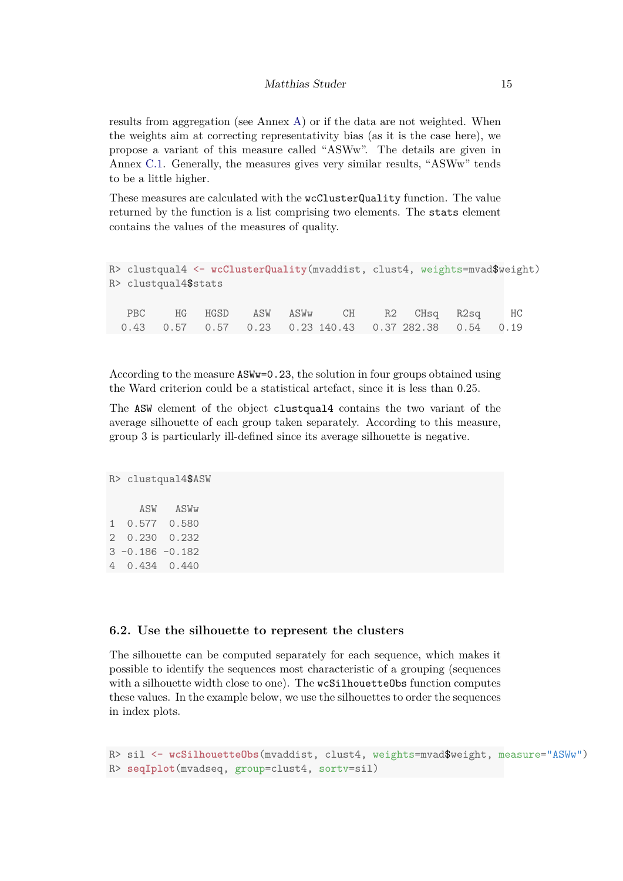results from aggregation (see Annex [A\)](#page-27-0) or if the data are not weighted. When the weights aim at correcting representativity bias (as it is the case here), we propose a variant of this measure called "ASWw". The details are given in Annex [C.1.](#page-31-1) Generally, the measures gives very similar results, "ASWw" tends to be a little higher.

These measures are calculated with the wcClusterQuality function. The value returned by the function is a list comprising two elements. The stats element contains the values of the measures of quality.

```
R> clustqual4 <- wcClusterQuality(mvaddist, clust4, weights=mvad$weight)
R> clustqual4$stats
  PBC HG HGSD ASW ASWw CH R2 CHsq R2sq HC
 0.43 0.57 0.57 0.23 0.23 140.43 0.37 282.38 0.54 0.19
```
According to the measure ASWw=0.23, the solution in four groups obtained using the Ward criterion could be a statistical artefact, since it is less than 0*.*25.

The ASW element of the object clustqual4 contains the two variant of the average silhouette of each group taken separately. According to this measure, group 3 is particularly ill-defined since its average silhouette is negative.

```
R> clustqual4$ASW
     ASW ASWw
1 0.577 0.580
2 0.230 0.232
3 -0.186 -0.182
4 0.434 0.440
```
#### **6.2. Use the silhouette to represent the clusters**

The silhouette can be computed separately for each sequence, which makes it possible to identify the sequences most characteristic of a grouping (sequences with a silhouette width close to one). The wcSilhouetteObs function computes these values. In the example below, we use the silhouettes to order the sequences in index plots.

```
R> sil <- wcSilhouetteObs(mvaddist, clust4, weights=mvad$weight, measure="ASWw")
R> seqIplot(mvadseq, group=clust4, sortv=sil)
```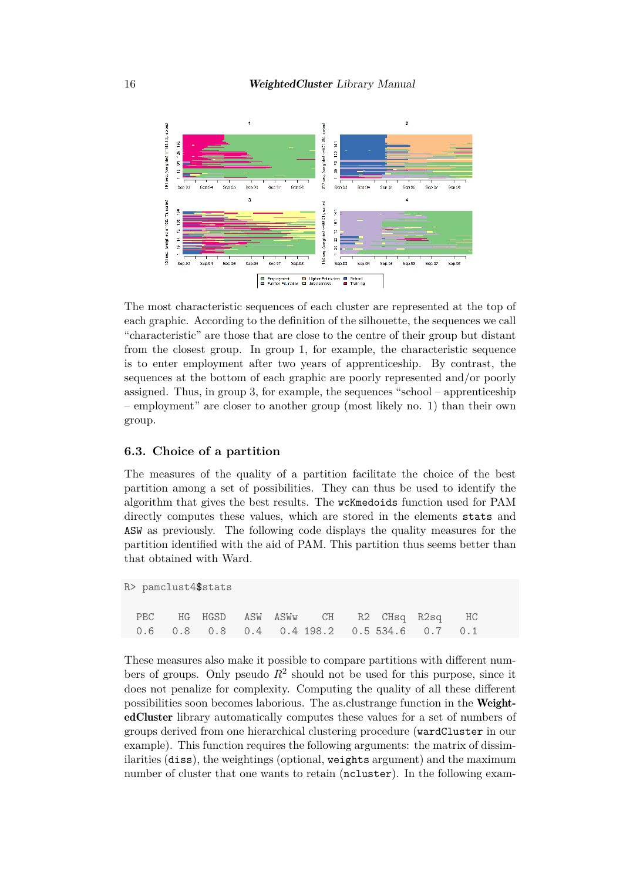16 **WeightedCluster** Library Manual



The most characteristic sequences of each cluster are represented at the top of each graphic. According to the definition of the silhouette, the sequences we call "characteristic" are those that are close to the centre of their group but distant from the closest group. In group 1, for example, the characteristic sequence is to enter employment after two years of apprenticeship. By contrast, the sequences at the bottom of each graphic are poorly represented and/or poorly assigned. Thus, in group 3, for example, the sequences "school – apprenticeship – employment" are closer to another group (most likely no. 1) than their own group.

### <span id="page-15-0"></span>**6.3. Choice of a partition**

The measures of the quality of a partition facilitate the choice of the best partition among a set of possibilities. They can thus be used to identify the algorithm that gives the best results. The wcKmedoids function used for PAM directly computes these values, which are stored in the elements stats and ASW as previously. The following code displays the quality measures for the partition identified with the aid of PAM. This partition thus seems better than that obtained with Ward.

```
R> pamclust4$stats
```

|  |  | PBC HG HGSD ASW ASWW CH R2 CHsq R2sq HC       |  |  |
|--|--|-----------------------------------------------|--|--|
|  |  | $0.6$ 0.8 0.8 0.4 0.4 198.2 0.5 534.6 0.7 0.1 |  |  |

These measures also make it possible to compare partitions with different numbers of groups. Only pseudo  $R^2$  should not be used for this purpose, since it does not penalize for complexity. Computing the quality of all these different possibilities soon becomes laborious. The as.clustrange function in the WeightedCluster library automatically computes these values for a set of numbers of groups derived from one hierarchical clustering procedure (wardCluster in our example). This function requires the following arguments: the matrix of dissimilarities (diss), the weightings (optional, weights argument) and the maximum number of cluster that one wants to retain (ncluster). In the following exam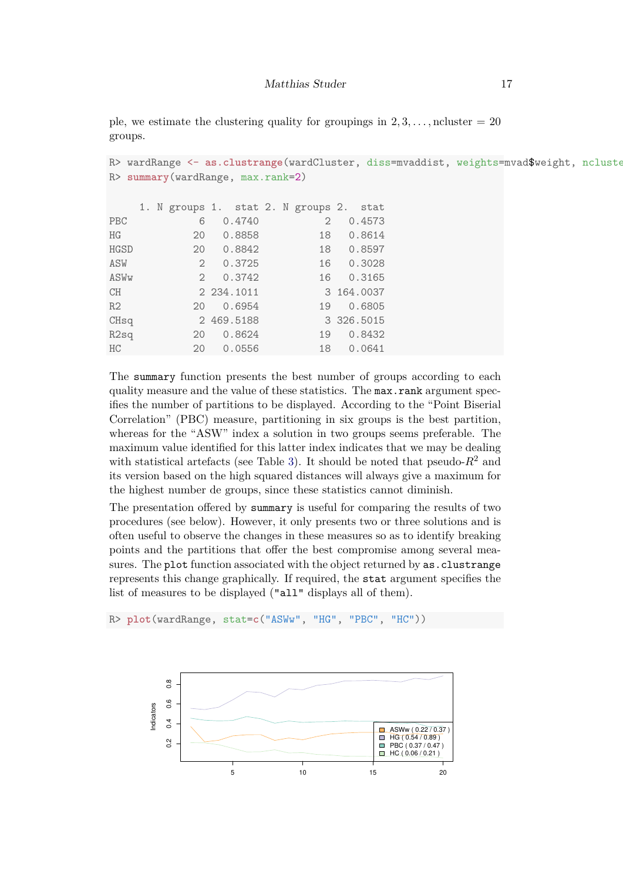ple, we estimate the clustering quality for groupings in  $2, 3, \ldots$ , ncluster  $= 20$ groups.

```
R> wardRange <- as.clustrange(wardCluster, diss=mvaddist, weights=mvad$weight, ncluster
R> summary(wardRange, max.rank=2)
```

|                  |  | 1. N groups 1. stat 2. N groups 2. stat |            |  |                   |            |
|------------------|--|-----------------------------------------|------------|--|-------------------|------------|
| PBC              |  | 6                                       | 0.4740     |  | $\mathcal{D}_{1}$ | 0.4573     |
| HG               |  | 20                                      | 0.8858     |  | 18                | 0.8614     |
| <b>HGSD</b>      |  | 20                                      | 0.8842     |  | 18                | 0.8597     |
| ASW              |  | $\overline{2}$                          | 0.3725     |  | 16                | 0.3028     |
| ASWw             |  | 2                                       | 0.3742     |  | 16                | 0.3165     |
| CH               |  |                                         | 2 234.1011 |  |                   | 3 164.0037 |
| R <sub>2</sub>   |  | 20                                      | 0.6954     |  | 19                | 0.6805     |
| CH <sub>sq</sub> |  |                                         | 2 469.5188 |  |                   | 3 326.5015 |
| R2sq             |  | 20                                      | 0.8624     |  | 19                | 0.8432     |
| HC               |  | 20                                      | 0.0556     |  | 18                | 0.0641     |

The summary function presents the best number of groups according to each quality measure and the value of these statistics. The max.rank argument specifies the number of partitions to be displayed. According to the "Point Biserial Correlation" (PBC) measure, partitioning in six groups is the best partition, whereas for the "ASW" index a solution in two groups seems preferable. The maximum value identified for this latter index indicates that we may be dealing with statistical artefacts (see Table [3\)](#page-13-0). It should be noted that pseudo- $R^2$  and its version based on the high squared distances will always give a maximum for the highest number de groups, since these statistics cannot diminish.

The presentation offered by summary is useful for comparing the results of two procedures (see below). However, it only presents two or three solutions and is often useful to observe the changes in these measures so as to identify breaking points and the partitions that offer the best compromise among several measures. The plot function associated with the object returned by as.clustrange represents this change graphically. If required, the stat argument specifies the list of measures to be displayed ("all" displays all of them).

R> **plot**(wardRange, stat=**c**("ASWw", "HG", "PBC", "HC"))

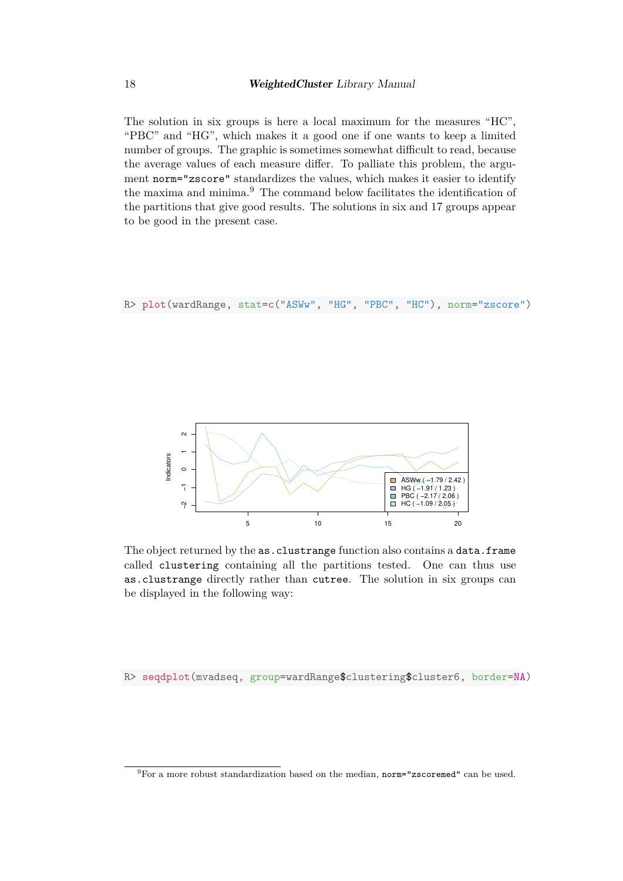The solution in six groups is here a local maximum for the measures "HC", "PBC" and "HG", which makes it a good one if one wants to keep a limited number of groups. The graphic is sometimes somewhat difficult to read, because the average values of each measure differ. To palliate this problem, the argument norm="zscore" standardizes the values, which makes it easier to identify the maxima and minima.<sup>[9](#page-17-0)</sup> The command below facilitates the identification of the partitions that give good results. The solutions in six and 17 groups appear to be good in the present case.

R> **plot**(wardRange, stat=**c**("ASWw", "HG", "PBC", "HC"), norm="zscore")



The object returned by the as.clustrange function also contains a data.frame called clustering containing all the partitions tested. One can thus use as.clustrange directly rather than cutree. The solution in six groups can be displayed in the following way:

R> **seqdplot**(mvadseq, group=wardRange\$clustering\$cluster6, border=NA)

<span id="page-17-0"></span> ${}^{9}$ For a more robust standardization based on the median, norm="zscoremed" can be used.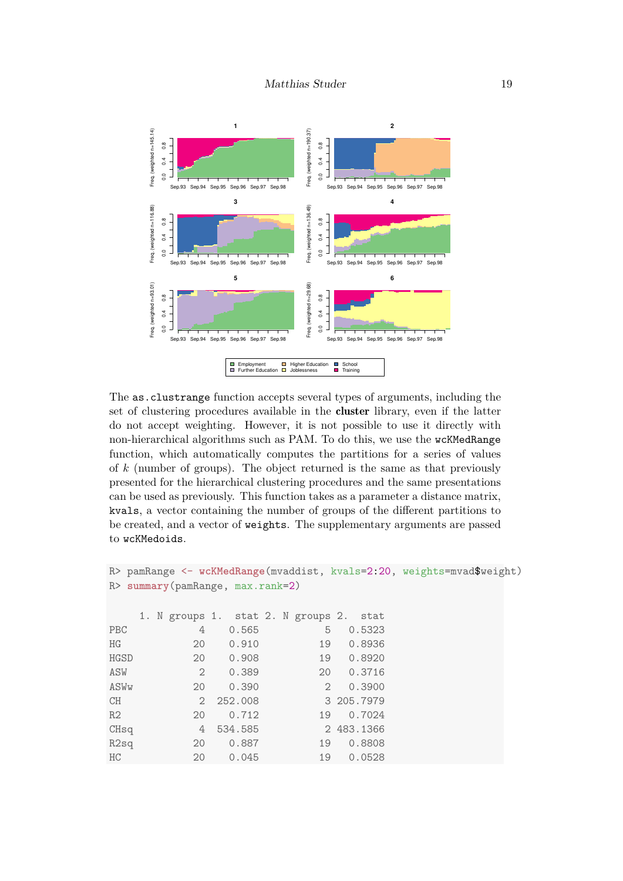

The as.clustrange function accepts several types of arguments, including the set of clustering procedures available in the cluster library, even if the latter do not accept weighting. However, it is not possible to use it directly with non-hierarchical algorithms such as PAM. To do this, we use the wcKMedRange function, which automatically computes the partitions for a series of values of *k* (number of groups). The object returned is the same as that previously presented for the hierarchical clustering procedures and the same presentations can be used as previously. This function takes as a parameter a distance matrix, kvals, a vector containing the number of groups of the different partitions to be created, and a vector of weights. The supplementary arguments are passed to wcKMedoids.

```
R> pamRange <- wcKMedRange(mvaddist, kvals=2:20, weights=mvad$weight)
R> summary(pamRange, max.rank=2)
   1. N groups 1. stat 2. N groups 2. stat
PBC 4 0.565 5 0.5323
HG 20 0.910 19 0.8936
HGSD 20 0.908 19 0.8920
ASW 2 0.389 20 0.3716
ASWw 20 0.390 2 0.3900
CH 2 252.008 3 205.7979
R2 20 0.712 19 0.7024
CHsq 4 534.585 2 483.1366
R2sq 20 0.887 19 0.8808
HC 20 0.045 19 0.0528
```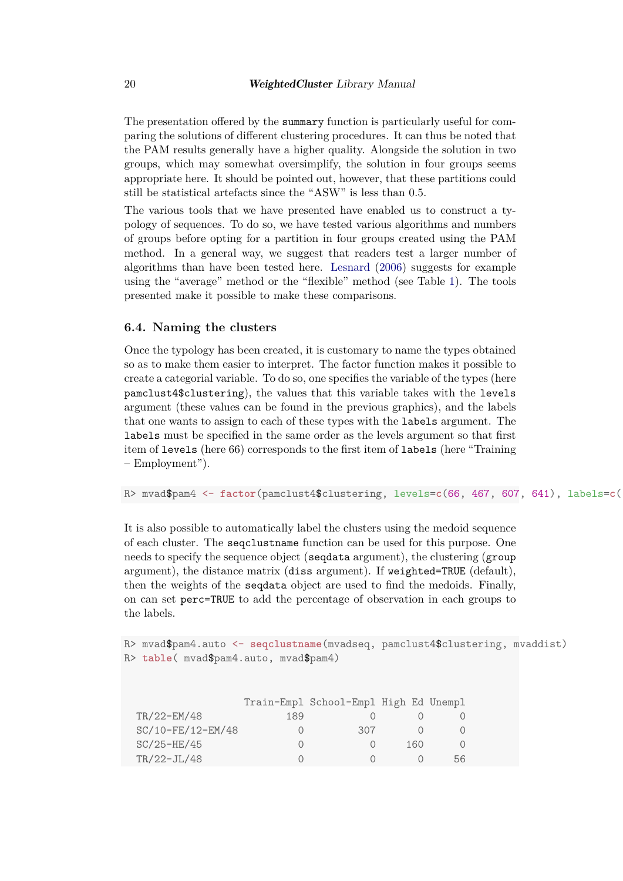The presentation offered by the summary function is particularly useful for comparing the solutions of different clustering procedures. It can thus be noted that the PAM results generally have a higher quality. Alongside the solution in two groups, which may somewhat oversimplify, the solution in four groups seems appropriate here. It should be pointed out, however, that these partitions could still be statistical artefacts since the "ASW" is less than 0*.*5.

The various tools that we have presented have enabled us to construct a typology of sequences. To do so, we have tested various algorithms and numbers of groups before opting for a partition in four groups created using the PAM method. In a general way, we suggest that readers test a larger number of algorithms than have been tested here. [Lesnard](#page-26-11) [\(2006\)](#page-26-11) suggests for example using the "average" method or the "flexible" method (see Table [1\)](#page-8-0). The tools presented make it possible to make these comparisons.

#### **6.4. Naming the clusters**

Once the typology has been created, it is customary to name the types obtained so as to make them easier to interpret. The factor function makes it possible to create a categorial variable. To do so, one specifies the variable of the types (here pamclust4\$clustering), the values that this variable takes with the levels argument (these values can be found in the previous graphics), and the labels that one wants to assign to each of these types with the labels argument. The labels must be specified in the same order as the levels argument so that first item of levels (here 66) corresponds to the first item of labels (here "Training – Employment").

R> mvad\$pam4 <- factor(pamclust4\$clustering, levels=c(66, 467, 607, 641), labels=c(

It is also possible to automatically label the clusters using the medoid sequence of each cluster. The seqclustname function can be used for this purpose. One needs to specify the sequence object (seqdata argument), the clustering (group argument), the distance matrix (diss argument). If weighted=TRUE (default), then the weights of the seqdata object are used to find the medoids. Finally, on can set perc=TRUE to add the percentage of observation in each groups to the labels.

R> mvad\$pam4.auto <- **seqclustname**(mvadseq, pamclust4\$clustering, mvaddist) R> **table**( mvad\$pam4.auto, mvad\$pam4)

|                   |     | Train-Empl School-Empl High Ed Unempl |     |    |
|-------------------|-----|---------------------------------------|-----|----|
| TR/22-EM/48       | 189 |                                       |     |    |
| SC/10-FE/12-EM/48 |     | 307                                   |     |    |
| $SC/25-HE/45$     |     |                                       | 160 |    |
| $TR/22-JL/48$     |     |                                       |     | 56 |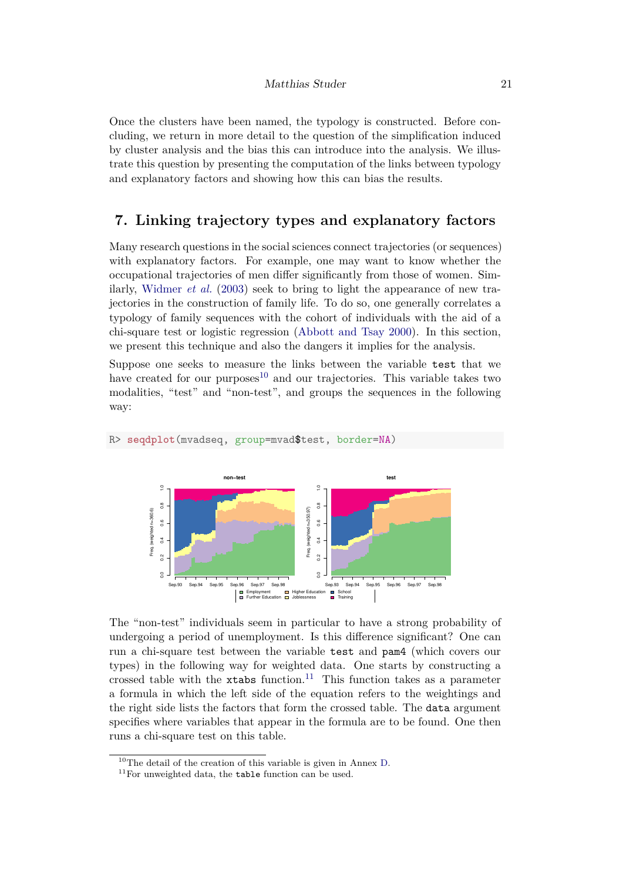#### Matthias Studer 21

Once the clusters have been named, the typology is constructed. Before concluding, we return in more detail to the question of the simplification induced by cluster analysis and the bias this can introduce into the analysis. We illustrate this question by presenting the computation of the links between typology and explanatory factors and showing how this can bias the results.

### **7. Linking trajectory types and explanatory factors**

Many research questions in the social sciences connect trajectories (or sequences) with explanatory factors. For example, one may want to know whether the occupational trajectories of men differ significantly from those of women. Similarly, [Widmer](#page-27-5) *et al.* [\(2003\)](#page-27-5) seek to bring to light the appearance of new trajectories in the construction of family life. To do so, one generally correlates a typology of family sequences with the cohort of individuals with the aid of a chi-square test or logistic regression [\(Abbott and Tsay 2000\)](#page-25-2). In this section, we present this technique and also the dangers it implies for the analysis.

Suppose one seeks to measure the links between the variable test that we have created for our purposes<sup>[10](#page-20-0)</sup> and our trajectories. This variable takes two modalities, "test" and "non-test", and groups the sequences in the following way:



R> **seqdplot**(mvadseq, group=mvad\$test, border=NA)

The "non-test" individuals seem in particular to have a strong probability of undergoing a period of unemployment. Is this difference significant? One can run a chi-square test between the variable test and pam4 (which covers our types) in the following way for weighted data. One starts by constructing a crossed table with the  $x$ tabs function.<sup>[11](#page-20-1)</sup> This function takes as a parameter a formula in which the left side of the equation refers to the weightings and the right side lists the factors that form the crossed table. The data argument specifies where variables that appear in the formula are to be found. One then runs a chi-square test on this table.

<span id="page-20-0"></span> $^{10}\mathrm{The}$  detail of the creation of this variable is given in Annex [D.](#page-33-0)

<span id="page-20-1"></span> $^{11}\mathrm{For}$  unweighted data, the  $\tt table$  function can be used.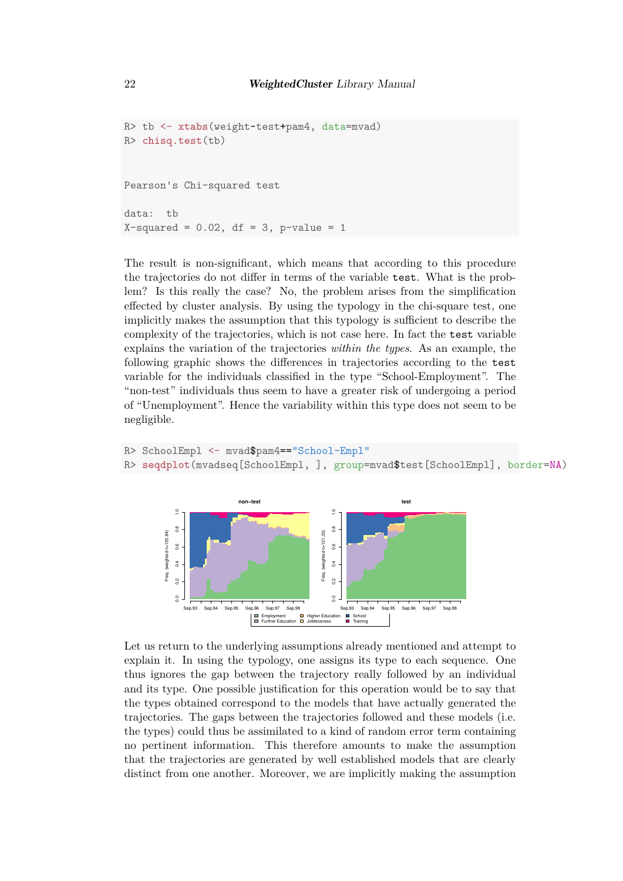```
R> tb <- xtabs(weight~test+pam4, data=mvad)
R> chisq.test(tb)
Pearson's Chi-squared test
data: tb
X-squared = 0.02, df = 3, p-value = 1
```
The result is non-significant, which means that according to this procedure the trajectories do not differ in terms of the variable test. What is the problem? Is this really the case? No, the problem arises from the simplification effected by cluster analysis. By using the typology in the chi-square test, one implicitly makes the assumption that this typology is sufficient to describe the complexity of the trajectories, which is not case here. In fact the test variable explains the variation of the trajectories *within the types*. As an example, the following graphic shows the differences in trajectories according to the test variable for the individuals classified in the type "School-Employment". The "non-test" individuals thus seem to have a greater risk of undergoing a period of "Unemployment". Hence the variability within this type does not seem to be negligible.

```
R> SchoolEmpl <- mvad$pam4=="School-Empl"
R> seqdplot(mvadseq[SchoolEmpl, ], group=mvad$test[SchoolEmpl], border=NA)
```


Let us return to the underlying assumptions already mentioned and attempt to explain it. In using the typology, one assigns its type to each sequence. One thus ignores the gap between the trajectory really followed by an individual and its type. One possible justification for this operation would be to say that the types obtained correspond to the models that have actually generated the trajectories. The gaps between the trajectories followed and these models (i.e. the types) could thus be assimilated to a kind of random error term containing no pertinent information. This therefore amounts to make the assumption that the trajectories are generated by well established models that are clearly distinct from one another. Moreover, we are implicitly making the assumption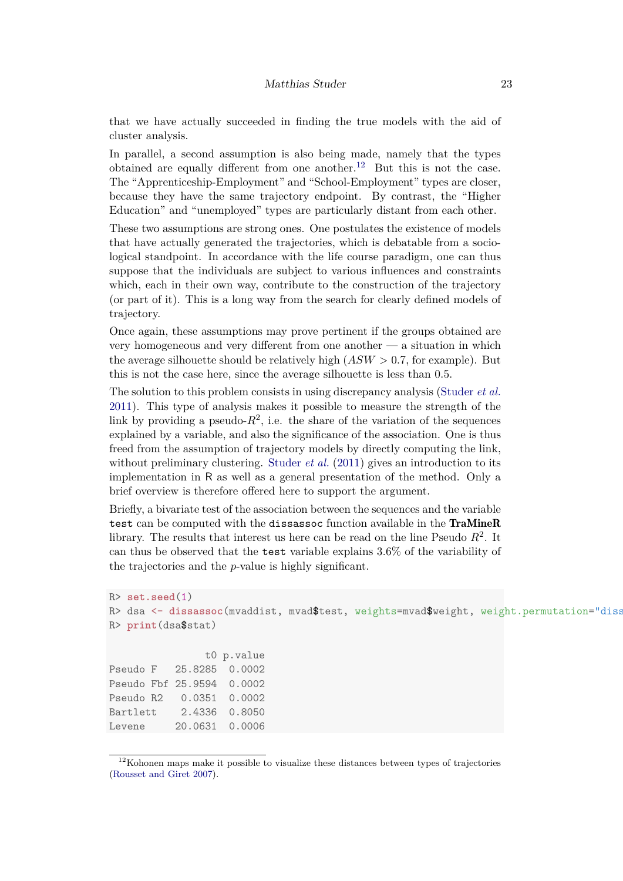that we have actually succeeded in finding the true models with the aid of cluster analysis.

In parallel, a second assumption is also being made, namely that the types obtained are equally different from one another.<sup>[12](#page-22-0)</sup> But this is not the case. The "Apprenticeship-Employment" and "School-Employment" types are closer, because they have the same trajectory endpoint. By contrast, the "Higher Education" and "unemployed" types are particularly distant from each other.

These two assumptions are strong ones. One postulates the existence of models that have actually generated the trajectories, which is debatable from a sociological standpoint. In accordance with the life course paradigm, one can thus suppose that the individuals are subject to various influences and constraints which, each in their own way, contribute to the construction of the trajectory (or part of it). This is a long way from the search for clearly defined models of trajectory.

Once again, these assumptions may prove pertinent if the groups obtained are very homogeneous and very different from one another — a situation in which the average silhouette should be relatively high  $(ASW > 0.7$ , for example). But this is not the case here, since the average silhouette is less than 0*.*5.

The solution to this problem consists in using discrepancy analysis [\(Studer](#page-27-2) *et al.* [2011\)](#page-27-2). This type of analysis makes it possible to measure the strength of the link by providing a pseudo- $R^2$ , i.e. the share of the variation of the sequences explained by a variable, and also the significance of the association. One is thus freed from the assumption of trajectory models by directly computing the link, without preliminary clustering. [Studer](#page-27-2) *et al.* [\(2011\)](#page-27-2) gives an introduction to its implementation in R as well as a general presentation of the method. Only a brief overview is therefore offered here to support the argument.

Briefly, a bivariate test of the association between the sequences and the variable test can be computed with the dissassoc function available in the TraMineR library. The results that interest us here can be read on the line Pseudo *R*<sup>2</sup> . It can thus be observed that the test variable explains 3.6% of the variability of the trajectories and the *p*-value is highly significant.

```
R> set.seed(1)
R> dsa <- dissassoc(mvaddist, mvad$test, weights=mvad$weight, weight.permutation="diss
R> print(dsa$stat)
               t0 p.value
Pseudo F 25.8285 0.0002
Pseudo Fbf 25.9594 0.0002
Pseudo R2 0.0351 0.0002
Bartlett 2.4336 0.8050
Levene 20.0631 0.0006
```
<span id="page-22-0"></span> $12$ Kohonen maps make it possible to visualize these distances between types of trajectories [\(Rousset and Giret 2007\)](#page-27-6).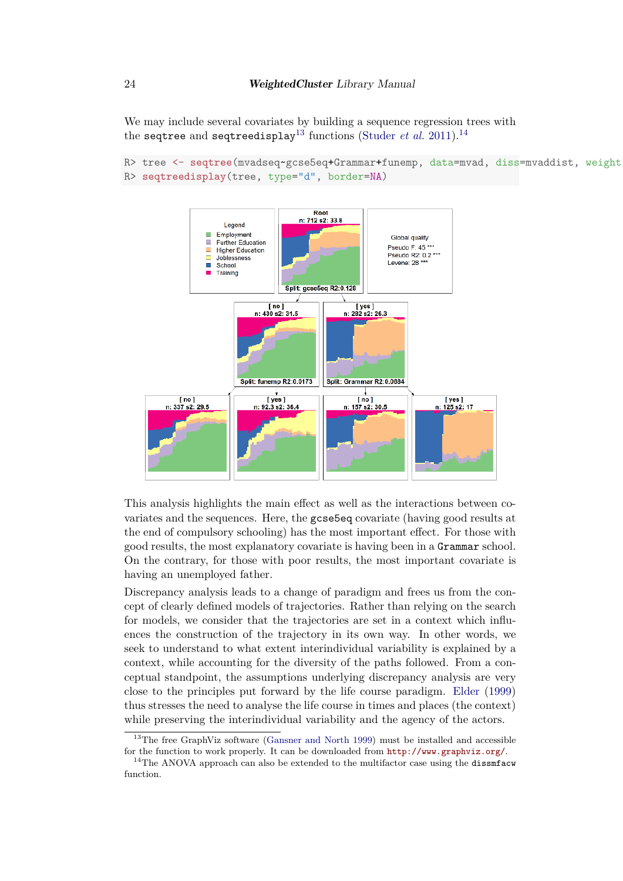We may include several covariates by building a sequence regression trees with the seqtree and seqtreedisplay<sup>[13](#page-23-0)</sup> functions [\(Studer](#page-27-2) *et al.* [2011\)](#page-27-2).<sup>[14](#page-23-1)</sup>

```
R> tree <- seqtree(mvadseq~gcse5eq+Grammar+funemp, data=mvad, diss=mvaddist, weight
R> seqtreedisplay(tree, type="d", border=NA)
```


This analysis highlights the main effect as well as the interactions between covariates and the sequences. Here, the gcse5eq covariate (having good results at the end of compulsory schooling) has the most important effect. For those with good results, the most explanatory covariate is having been in a Grammar school. On the contrary, for those with poor results, the most important covariate is having an unemployed father.

Discrepancy analysis leads to a change of paradigm and frees us from the concept of clearly defined models of trajectories. Rather than relying on the search for models, we consider that the trajectories are set in a context which influences the construction of the trajectory in its own way. In other words, we seek to understand to what extent interindividual variability is explained by a context, while accounting for the diversity of the paths followed. From a conceptual standpoint, the assumptions underlying discrepancy analysis are very close to the principles put forward by the life course paradigm. [Elder](#page-25-10) [\(1999\)](#page-25-10) thus stresses the need to analyse the life course in times and places (the context) while preserving the interindividual variability and the agency of the actors.

<span id="page-23-0"></span><sup>&</sup>lt;sup>13</sup>The free GraphViz software [\(Gansner and North 1999\)](#page-25-5) must be installed and accessible for the function to work properly. It can be downloaded from <http://www.graphviz.org/>.

<span id="page-23-1"></span><sup>&</sup>lt;sup>14</sup>The ANOVA approach can also be extended to the multifactor case using the dissmfacw function.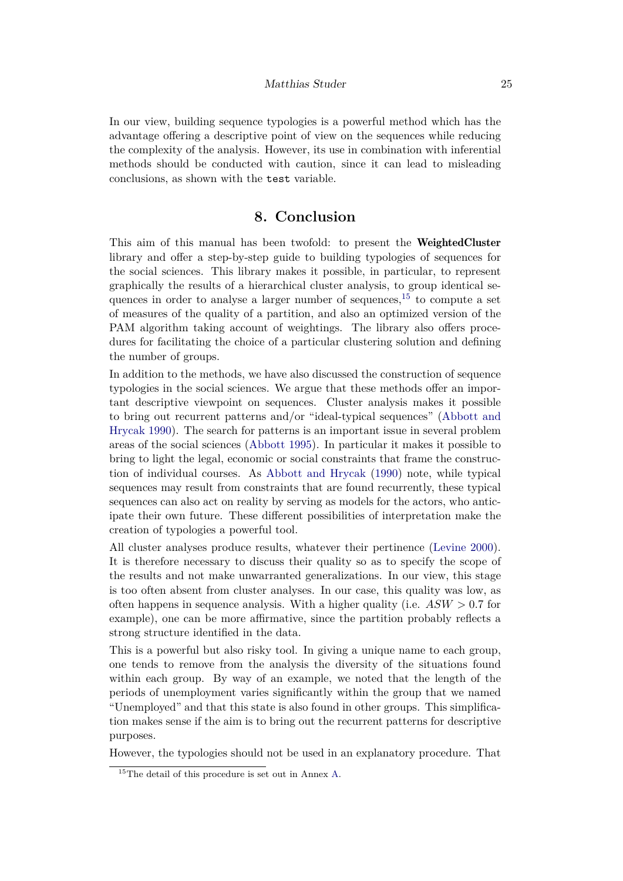In our view, building sequence typologies is a powerful method which has the advantage offering a descriptive point of view on the sequences while reducing the complexity of the analysis. However, its use in combination with inferential methods should be conducted with caution, since it can lead to misleading conclusions, as shown with the test variable.

### **8. Conclusion**

This aim of this manual has been twofold: to present the WeightedCluster library and offer a step-by-step guide to building typologies of sequences for the social sciences. This library makes it possible, in particular, to represent graphically the results of a hierarchical cluster analysis, to group identical sequences in order to analyse a larger number of sequences,  $15$  to compute a set of measures of the quality of a partition, and also an optimized version of the PAM algorithm taking account of weightings. The library also offers procedures for facilitating the choice of a particular clustering solution and defining the number of groups.

In addition to the methods, we have also discussed the construction of sequence typologies in the social sciences. We argue that these methods offer an important descriptive viewpoint on sequences. Cluster analysis makes it possible to bring out recurrent patterns and/or "ideal-typical sequences" [\(Abbott and](#page-25-3) [Hrycak 1990\)](#page-25-3). The search for patterns is an important issue in several problem areas of the social sciences [\(Abbott 1995\)](#page-25-4). In particular it makes it possible to bring to light the legal, economic or social constraints that frame the construction of individual courses. As [Abbott and Hrycak](#page-25-3) [\(1990\)](#page-25-3) note, while typical sequences may result from constraints that are found recurrently, these typical sequences can also act on reality by serving as models for the actors, who anticipate their own future. These different possibilities of interpretation make the creation of typologies a powerful tool.

All cluster analyses produce results, whatever their pertinence [\(Levine 2000\)](#page-26-0). It is therefore necessary to discuss their quality so as to specify the scope of the results and not make unwarranted generalizations. In our view, this stage is too often absent from cluster analyses. In our case, this quality was low, as often happens in sequence analysis. With a higher quality (i.e. *ASW >* 0*.*7 for example), one can be more affirmative, since the partition probably reflects a strong structure identified in the data.

This is a powerful but also risky tool. In giving a unique name to each group, one tends to remove from the analysis the diversity of the situations found within each group. By way of an example, we noted that the length of the periods of unemployment varies significantly within the group that we named "Unemployed" and that this state is also found in other groups. This simplification makes sense if the aim is to bring out the recurrent patterns for descriptive purposes.

However, the typologies should not be used in an explanatory procedure. That

<span id="page-24-0"></span><sup>15</sup>The detail of this procedure is set out in Annex [A.](#page-27-0)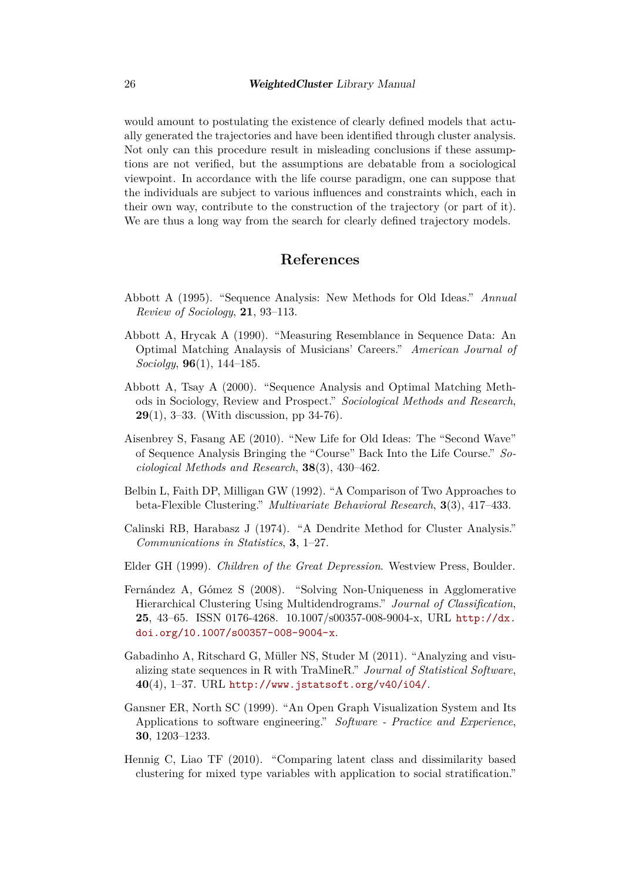would amount to postulating the existence of clearly defined models that actually generated the trajectories and have been identified through cluster analysis. Not only can this procedure result in misleading conclusions if these assumptions are not verified, but the assumptions are debatable from a sociological viewpoint. In accordance with the life course paradigm, one can suppose that the individuals are subject to various influences and constraints which, each in their own way, contribute to the construction of the trajectory (or part of it). We are thus a long way from the search for clearly defined trajectory models.

# **References**

- <span id="page-25-4"></span>Abbott A (1995). "Sequence Analysis: New Methods for Old Ideas." *Annual Review of Sociology*, **21**, 93–113.
- <span id="page-25-3"></span>Abbott A, Hrycak A (1990). "Measuring Resemblance in Sequence Data: An Optimal Matching Analaysis of Musicians' Careers." *American Journal of Sociolgy*, **96**(1), 144–185.
- <span id="page-25-2"></span>Abbott A, Tsay A (2000). "Sequence Analysis and Optimal Matching Methods in Sociology, Review and Prospect." *Sociological Methods and Research*, **29**(1), 3–33. (With discussion, pp 34-76).
- <span id="page-25-1"></span>Aisenbrey S, Fasang AE (2010). "New Life for Old Ideas: The "Second Wave" of Sequence Analysis Bringing the "Course" Back Into the Life Course." *Sociological Methods and Research*, **38**(3), 430–462.
- <span id="page-25-6"></span>Belbin L, Faith DP, Milligan GW (1992). "A Comparison of Two Approaches to beta-Flexible Clustering." *Multivariate Behavioral Research*, **3**(3), 417–433.
- <span id="page-25-9"></span>Calinski RB, Harabasz J (1974). "A Dendrite Method for Cluster Analysis." *Communications in Statistics*, **3**, 1–27.
- <span id="page-25-10"></span>Elder GH (1999). *Children of the Great Depression*. Westview Press, Boulder.
- <span id="page-25-7"></span>Fernández A, Gómez S (2008). "Solving Non-Uniqueness in Agglomerative Hierarchical Clustering Using Multidendrograms." *Journal of Classification*, **25**, 43–65. ISSN 0176-4268. 10.1007/s00357-008-9004-x, URL [http://dx.](http://dx.doi.org/10.1007/s00357-008-9004-x) [doi.org/10.1007/s00357-008-9004-x](http://dx.doi.org/10.1007/s00357-008-9004-x).
- <span id="page-25-0"></span>Gabadinho A, Ritschard G, Müller NS, Studer M (2011). "Analyzing and visualizing state sequences in R with TraMineR." *Journal of Statistical Software*, **40**(4), 1–37. URL <http://www.jstatsoft.org/v40/i04/>.
- <span id="page-25-5"></span>Gansner ER, North SC (1999). "An Open Graph Visualization System and Its Applications to software engineering." *Software - Practice and Experience*, **30**, 1203–1233.
- <span id="page-25-8"></span>Hennig C, Liao TF (2010). "Comparing latent class and dissimilarity based clustering for mixed type variables with application to social stratification."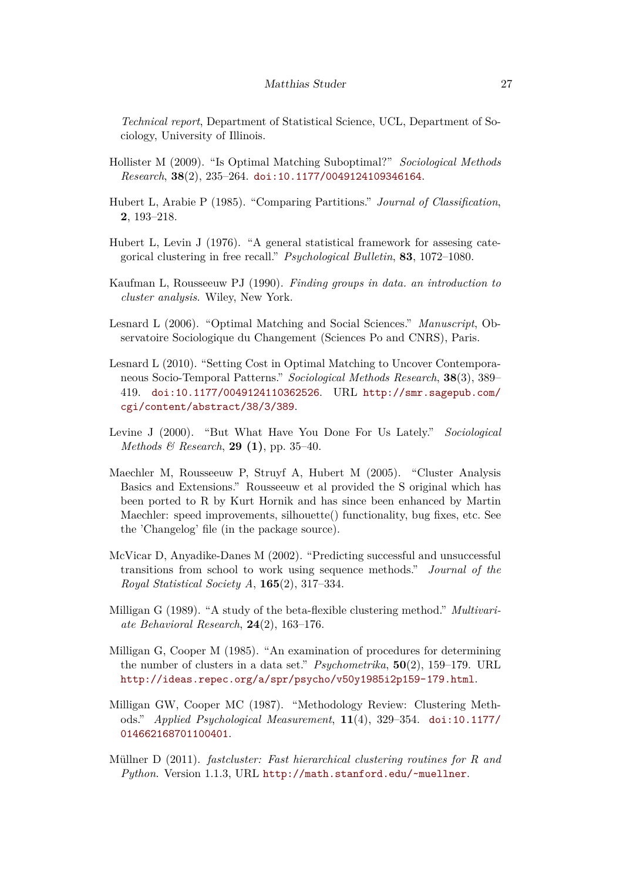*Technical report*, Department of Statistical Science, UCL, Department of Sociology, University of Illinois.

- <span id="page-26-2"></span>Hollister M (2009). "Is Optimal Matching Suboptimal?" *Sociological Methods Research*, **38**(2), 235–264. [doi:10.1177/0049124109346164](https://doi.org/10.1177/0049124109346164).
- <span id="page-26-10"></span>Hubert L, Arabie P (1985). "Comparing Partitions." *Journal of Classification*, **2**, 193–218.
- <span id="page-26-12"></span>Hubert L, Levin J (1976). "A general statistical framework for assesing categorical clustering in free recall." *Psychological Bulletin*, **83**, 1072–1080.
- <span id="page-26-5"></span>Kaufman L, Rousseeuw PJ (1990). *Finding groups in data. an introduction to cluster analysis*. Wiley, New York.
- <span id="page-26-11"></span>Lesnard L (2006). "Optimal Matching and Social Sciences." *Manuscript*, Observatoire Sociologique du Changement (Sciences Po and CNRS), Paris.
- <span id="page-26-3"></span>Lesnard L (2010). "Setting Cost in Optimal Matching to Uncover Contemporaneous Socio-Temporal Patterns." *Sociological Methods Research*, **38**(3), 389– 419. [doi:10.1177/0049124110362526](https://doi.org/10.1177/0049124110362526). URL [http://smr.sagepub.com/](http://smr.sagepub.com/cgi/content/abstract/38/3/389) [cgi/content/abstract/38/3/389](http://smr.sagepub.com/cgi/content/abstract/38/3/389).
- <span id="page-26-0"></span>Levine J (2000). "But What Have You Done For Us Lately." *Sociological Methods & Research*, **29 (1)**, pp. 35–40.
- <span id="page-26-6"></span>Maechler M, Rousseeuw P, Struyf A, Hubert M (2005). "Cluster Analysis Basics and Extensions." Rousseeuw et al provided the S original which has been ported to R by Kurt Hornik and has since been enhanced by Martin Maechler: speed improvements, silhouette() functionality, bug fixes, etc. See the 'Changelog' file (in the package source).
- <span id="page-26-1"></span>McVicar D, Anyadike-Danes M (2002). "Predicting successful and unsuccessful transitions from school to work using sequence methods." *Journal of the Royal Statistical Society A*, **165**(2), 317–334.
- <span id="page-26-8"></span>Milligan G (1989). "A study of the beta-flexible clustering method." *Multivariate Behavioral Research*, **24**(2), 163–176.
- <span id="page-26-9"></span>Milligan G, Cooper M (1985). "An examination of procedures for determining the number of clusters in a data set." *Psychometrika*, **50**(2), 159–179. URL <http://ideas.repec.org/a/spr/psycho/v50y1985i2p159-179.html>.
- <span id="page-26-7"></span>Milligan GW, Cooper MC (1987). "Methodology Review: Clustering Methods." *Applied Psychological Measurement*, **11**(4), 329–354. [doi:10.1177/](https://doi.org/10.1177/014662168701100401) [014662168701100401](https://doi.org/10.1177/014662168701100401).
- <span id="page-26-4"></span>Müllner D (2011). *fastcluster: Fast hierarchical clustering routines for R and Python*. Version 1.1.3, URL <http://math.stanford.edu/~muellner>.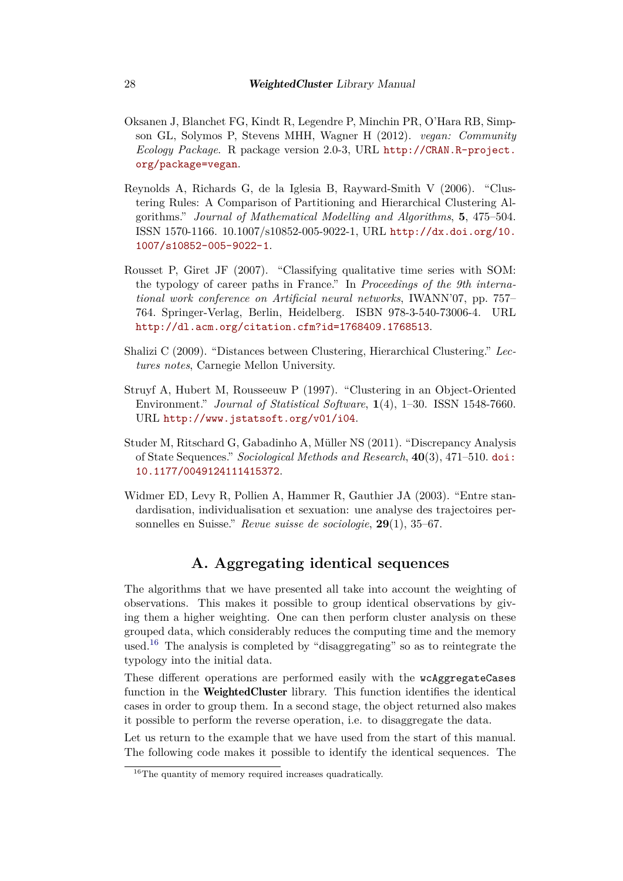- <span id="page-27-8"></span>Oksanen J, Blanchet FG, Kindt R, Legendre P, Minchin PR, O'Hara RB, Simpson GL, Solymos P, Stevens MHH, Wagner H (2012). *vegan: Community Ecology Package*. R package version 2.0-3, URL [http://CRAN.R-project.](http://CRAN.R-project.org/package=vegan) [org/package=vegan](http://CRAN.R-project.org/package=vegan).
- <span id="page-27-4"></span>Reynolds A, Richards G, de la Iglesia B, Rayward-Smith V (2006). "Clustering Rules: A Comparison of Partitioning and Hierarchical Clustering Algorithms." *Journal of Mathematical Modelling and Algorithms*, **5**, 475–504. ISSN 1570-1166. 10.1007/s10852-005-9022-1, URL [http://dx.doi.org/10.](http://dx.doi.org/10.1007/s10852-005-9022-1) [1007/s10852-005-9022-1](http://dx.doi.org/10.1007/s10852-005-9022-1).
- <span id="page-27-6"></span>Rousset P, Giret JF (2007). "Classifying qualitative time series with SOM: the typology of career paths in France." In *Proceedings of the 9th international work conference on Artificial neural networks*, IWANN'07, pp. 757– 764. Springer-Verlag, Berlin, Heidelberg. ISBN 978-3-540-73006-4. URL <http://dl.acm.org/citation.cfm?id=1768409.1768513>.
- <span id="page-27-1"></span>Shalizi C (2009). "Distances between Clustering, Hierarchical Clustering." *Lectures notes*, Carnegie Mellon University.
- <span id="page-27-3"></span>Struyf A, Hubert M, Rousseeuw P (1997). "Clustering in an Object-Oriented Environment." *Journal of Statistical Software*, **1**(4), 1–30. ISSN 1548-7660. URL <http://www.jstatsoft.org/v01/i04>.
- <span id="page-27-2"></span>Studer M, Ritschard G, Gabadinho A, Müller NS (2011). "Discrepancy Analysis of State Sequences." *Sociological Methods and Research*, **40**(3), 471–510. [doi:](https://doi.org/10.1177/0049124111415372) [10.1177/0049124111415372](https://doi.org/10.1177/0049124111415372).
- <span id="page-27-5"></span>Widmer ED, Levy R, Pollien A, Hammer R, Gauthier JA (2003). "Entre standardisation, individualisation et sexuation: une analyse des trajectoires personnelles en Suisse." *Revue suisse de sociologie*, **29**(1), 35–67.

## **A. Aggregating identical sequences**

<span id="page-27-0"></span>The algorithms that we have presented all take into account the weighting of observations. This makes it possible to group identical observations by giving them a higher weighting. One can then perform cluster analysis on these grouped data, which considerably reduces the computing time and the memory used.[16](#page-27-7) The analysis is completed by "disaggregating" so as to reintegrate the typology into the initial data.

These different operations are performed easily with the wcAggregateCases function in the WeightedCluster library. This function identifies the identical cases in order to group them. In a second stage, the object returned also makes it possible to perform the reverse operation, i.e. to disaggregate the data.

Let us return to the example that we have used from the start of this manual. The following code makes it possible to identify the identical sequences. The

<span id="page-27-7"></span><sup>&</sup>lt;sup>16</sup>The quantity of memory required increases quadratically.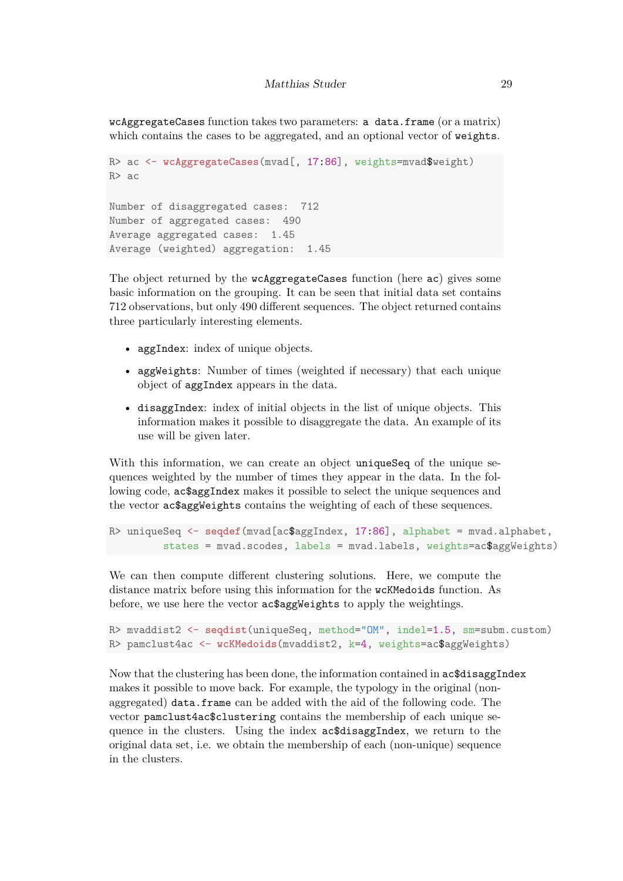wcAggregateCases function takes two parameters: a data.frame (or a matrix) which contains the cases to be aggregated, and an optional vector of weights.

```
R> ac <- wcAggregateCases(mvad[, 17:86], weights=mvad$weight)
R> ac
Number of disaggregated cases: 712
Number of aggregated cases: 490
Average aggregated cases: 1.45
Average (weighted) aggregation: 1.45
```
The object returned by the wcAggregateCases function (here ac) gives some basic information on the grouping. It can be seen that initial data set contains 712 observations, but only 490 different sequences. The object returned contains three particularly interesting elements.

- aggIndex: index of unique objects.
- aggWeights: Number of times (weighted if necessary) that each unique object of aggIndex appears in the data.
- disaggIndex: index of initial objects in the list of unique objects. This information makes it possible to disaggregate the data. An example of its use will be given later.

With this information, we can create an object uniqueSeq of the unique sequences weighted by the number of times they appear in the data. In the following code, ac\$aggIndex makes it possible to select the unique sequences and the vector ac\$aggWeights contains the weighting of each of these sequences.

```
R> uniqueSeq <- seqdef(mvad[ac$aggIndex, 17:86], alphabet = mvad.alphabet,
         states = mvad.scodes, labels = mvad.labels, weights=ac$aggWeights)
```
We can then compute different clustering solutions. Here, we compute the distance matrix before using this information for the wcKMedoids function. As before, we use here the vector ac\$aggWeights to apply the weightings.

```
R> mvaddist2 <- seqdist(uniqueSeq, method="OM", indel=1.5, sm=subm.custom)
R> pamclust4ac <- wcKMedoids(mvaddist2, k=4, weights=ac$aggWeights)
```
Now that the clustering has been done, the information contained in ac\$disaggIndex makes it possible to move back. For example, the typology in the original (nonaggregated) data.frame can be added with the aid of the following code. The vector pamclust4ac\$clustering contains the membership of each unique sequence in the clusters. Using the index ac\$disaggIndex, we return to the original data set, i.e. we obtain the membership of each (non-unique) sequence in the clusters.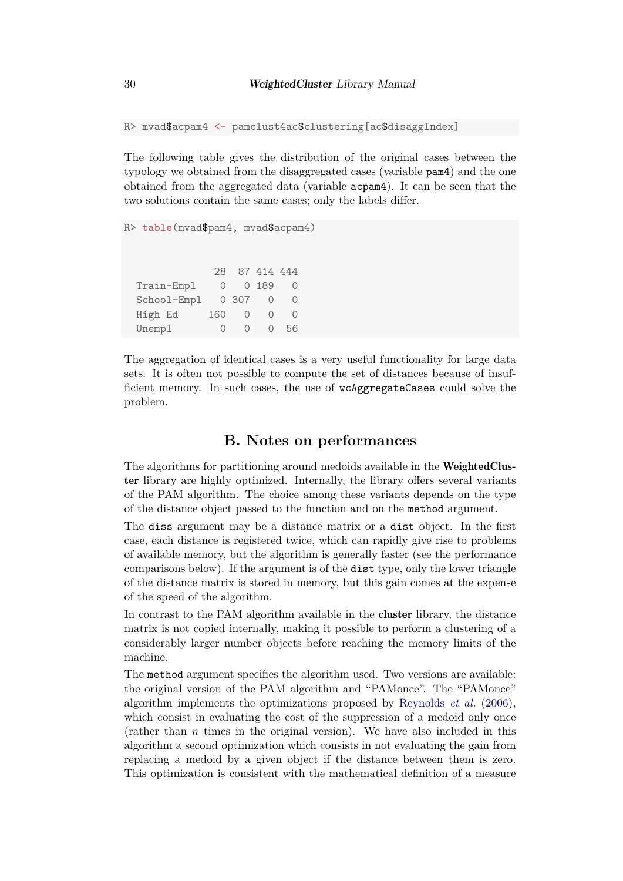R> mvad\$acpam4 <- pamclust4ac\$clustering[ac\$disaggIndex]

The following table gives the distribution of the original cases between the typology we obtained from the disaggregated cases (variable pam4) and the one obtained from the aggregated data (variable acpam4). It can be seen that the two solutions contain the same cases; only the labels differ.

```
R> table(mvad$pam4, mvad$acpam4)
           28 87 414 444
 Train-Empl 0 0 189 0
 School-Empl 0 307 0 0
 High Ed 160 0 0 0
 Unempl 0 0 0 56
```
The aggregation of identical cases is a very useful functionality for large data sets. It is often not possible to compute the set of distances because of insufficient memory. In such cases, the use of wcAggregateCases could solve the problem.

### **B. Notes on performances**

<span id="page-29-0"></span>The algorithms for partitioning around medoids available in the WeightedCluster library are highly optimized. Internally, the library offers several variants of the PAM algorithm. The choice among these variants depends on the type of the distance object passed to the function and on the method argument.

The diss argument may be a distance matrix or a dist object. In the first case, each distance is registered twice, which can rapidly give rise to problems of available memory, but the algorithm is generally faster (see the performance comparisons below). If the argument is of the dist type, only the lower triangle of the distance matrix is stored in memory, but this gain comes at the expense of the speed of the algorithm.

In contrast to the PAM algorithm available in the cluster library, the distance matrix is not copied internally, making it possible to perform a clustering of a considerably larger number objects before reaching the memory limits of the machine.

The method argument specifies the algorithm used. Two versions are available: the original version of the PAM algorithm and "PAMonce". The "PAMonce" algorithm implements the optimizations proposed by [Reynolds](#page-27-4) *et al.* [\(2006\)](#page-27-4), which consist in evaluating the cost of the suppression of a medoid only once (rather than *n* times in the original version). We have also included in this algorithm a second optimization which consists in not evaluating the gain from replacing a medoid by a given object if the distance between them is zero. This optimization is consistent with the mathematical definition of a measure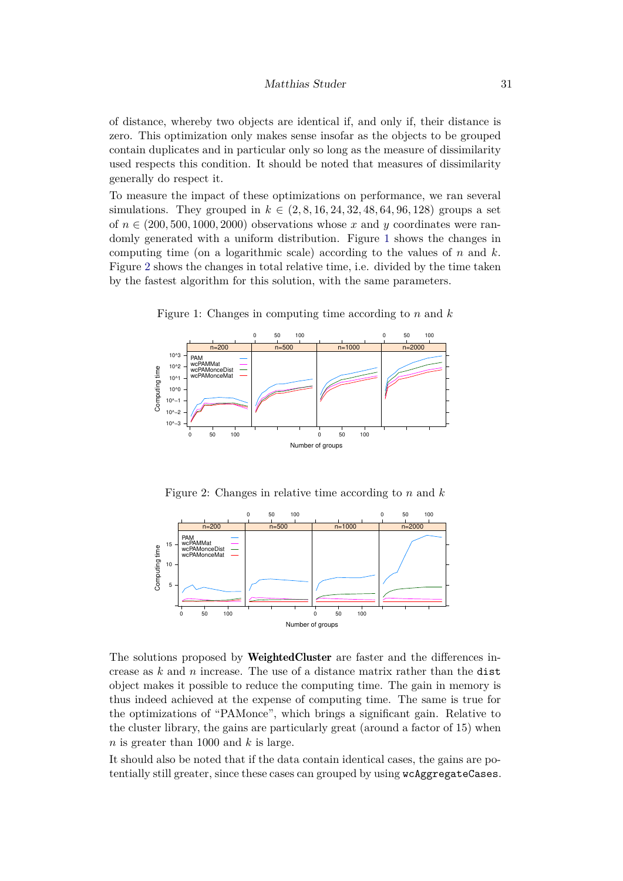of distance, whereby two objects are identical if, and only if, their distance is zero. This optimization only makes sense insofar as the objects to be grouped contain duplicates and in particular only so long as the measure of dissimilarity used respects this condition. It should be noted that measures of dissimilarity generally do respect it.

To measure the impact of these optimizations on performance, we ran several simulations. They grouped in  $k \in (2, 8, 16, 24, 32, 48, 64, 96, 128)$  groups a set of  $n \in (200, 500, 1000, 2000)$  observations whose x and y coordinates were randomly generated with a uniform distribution. Figure [1](#page-30-0) shows the changes in computing time (on a logarithmic scale) according to the values of *n* and *k*. Figure [2](#page-30-1) shows the changes in total relative time, i.e. divided by the time taken by the fastest algorithm for this solution, with the same parameters.



<span id="page-30-0"></span>Figure 1: Changes in computing time according to *n* and *k*

<span id="page-30-1"></span>Figure 2: Changes in relative time according to *n* and *k*



The solutions proposed by WeightedCluster are faster and the differences increase as *k* and *n* increase. The use of a distance matrix rather than the dist object makes it possible to reduce the computing time. The gain in memory is thus indeed achieved at the expense of computing time. The same is true for the optimizations of "PAMonce", which brings a significant gain. Relative to the cluster library, the gains are particularly great (around a factor of 15) when *n* is greater than 1000 and *k* is large.

It should also be noted that if the data contain identical cases, the gains are potentially still greater, since these cases can grouped by using wcAggregateCases.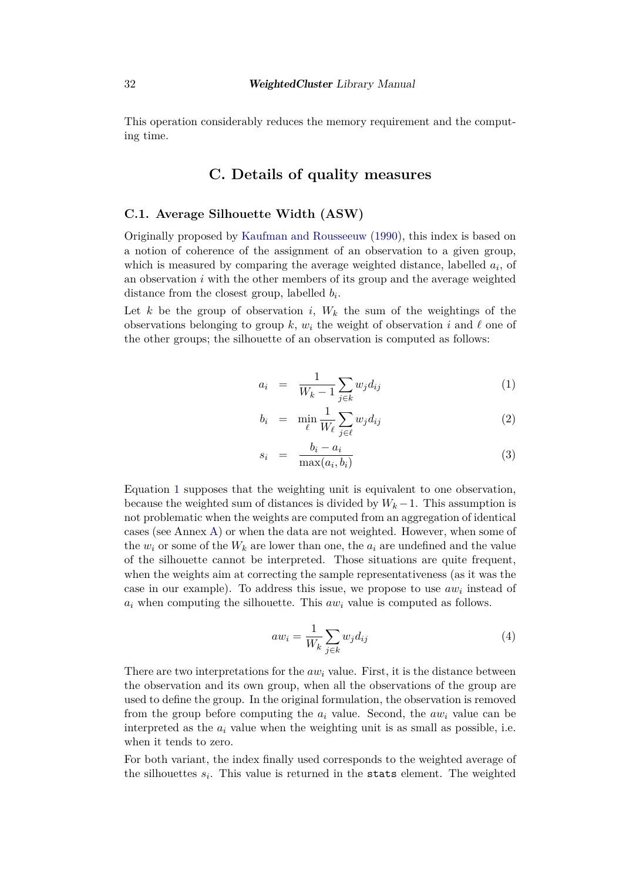This operation considerably reduces the memory requirement and the computing time.

# **C. Details of quality measures**

#### <span id="page-31-1"></span><span id="page-31-0"></span>**C.1. Average Silhouette Width (ASW)**

Originally proposed by [Kaufman and Rousseeuw](#page-26-5) [\(1990\)](#page-26-5), this index is based on a notion of coherence of the assignment of an observation to a given group, which is measured by comparing the average weighted distance, labelled  $a_i$ , of an observation *i* with the other members of its group and the average weighted distance from the closest group, labelled *b<sup>i</sup>* .

Let *k* be the group of observation *i*,  $W_k$  the sum of the weightings of the observations belonging to group k,  $w_i$  the weight of observation *i* and  $\ell$  one of the other groups; the silhouette of an observation is computed as follows:

<span id="page-31-2"></span>
$$
a_i = \frac{1}{W_k - 1} \sum_{j \in k} w_j d_{ij} \tag{1}
$$

$$
b_i = \min_{\ell} \frac{1}{W_{\ell}} \sum_{j \in \ell} w_j d_{ij} \tag{2}
$$

$$
s_i = \frac{b_i - a_i}{\max(a_i, b_i)} \tag{3}
$$

Equation [1](#page-31-2) supposes that the weighting unit is equivalent to one observation, because the weighted sum of distances is divided by  $W_k - 1$ . This assumption is not problematic when the weights are computed from an aggregation of identical cases (see Annex [A\)](#page-27-0) or when the data are not weighted. However, when some of the  $w_i$  or some of the  $W_k$  are lower than one, the  $a_i$  are undefined and the value of the silhouette cannot be interpreted. Those situations are quite frequent, when the weights aim at correcting the sample representativeness (as it was the case in our example). To address this issue, we propose to use *aw<sup>i</sup>* instead of  $a_i$  when computing the silhouette. This  $a w_i$  value is computed as follows.

$$
aw_i = \frac{1}{W_k} \sum_{j \in k} w_j d_{ij} \tag{4}
$$

There are two interpretations for the *aw<sup>i</sup>* value. First, it is the distance between the observation and its own group, when all the observations of the group are used to define the group. In the original formulation, the observation is removed from the group before computing the *a<sup>i</sup>* value. Second, the *aw<sup>i</sup>* value can be interpreted as the  $a_i$  value when the weighting unit is as small as possible, i.e. when it tends to zero.

For both variant, the index finally used corresponds to the weighted average of the silhouettes  $s_i$ . This value is returned in the stats element. The weighted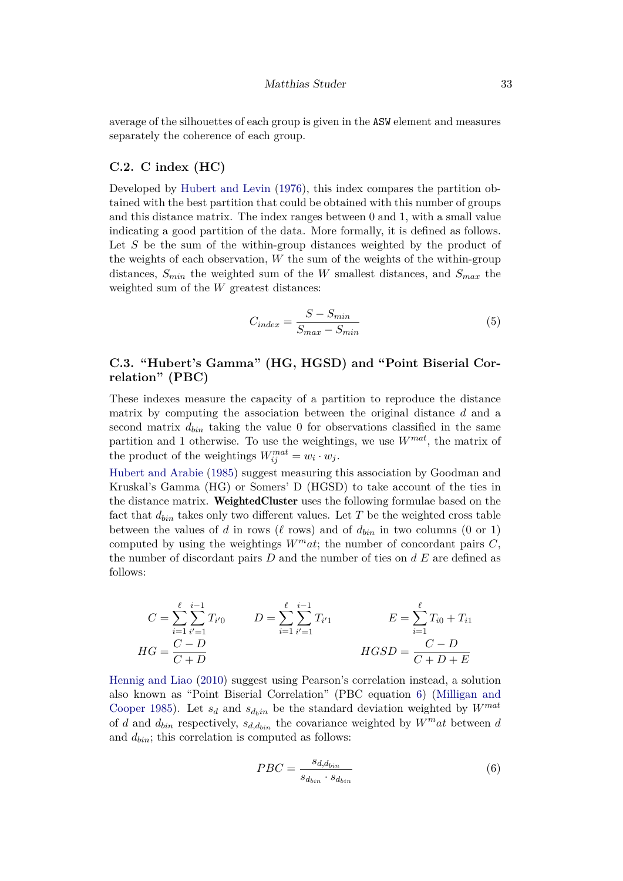average of the silhouettes of each group is given in the ASW element and measures separately the coherence of each group.

#### **C.2. C index (HC)**

Developed by [Hubert and Levin](#page-26-12) [\(1976\)](#page-26-12), this index compares the partition obtained with the best partition that could be obtained with this number of groups and this distance matrix. The index ranges between 0 and 1, with a small value indicating a good partition of the data. More formally, it is defined as follows. Let *S* be the sum of the within-group distances weighted by the product of the weights of each observation, *W* the sum of the weights of the within-group distances, *Smin* the weighted sum of the *W* smallest distances, and *Smax* the weighted sum of the *W* greatest distances:

$$
C_{index} = \frac{S - S_{min}}{S_{max} - S_{min}}\tag{5}
$$

### **C.3. "Hubert's Gamma" (HG, HGSD) and "Point Biserial Correlation" (PBC)**

These indexes measure the capacity of a partition to reproduce the distance matrix by computing the association between the original distance *d* and a second matrix  $d_{\text{bin}}$  taking the value 0 for observations classified in the same partition and 1 otherwise. To use the weightings, we use *Wmat*, the matrix of the product of the weightings  $W_{ij}^{mat} = w_i \cdot w_j$ .

[Hubert and Arabie](#page-26-10) [\(1985\)](#page-26-10) suggest measuring this association by Goodman and Kruskal's Gamma (HG) or Somers' D (HGSD) to take account of the ties in the distance matrix. WeightedCluster uses the following formulae based on the fact that  $d_{bin}$  takes only two different values. Let  $T$  be the weighted cross table between the values of *d* in rows ( $\ell$  rows) and of  $d_{bin}$  in two columns (0 or 1) computed by using the weightings  $W<sup>m</sup>at$ ; the number of concordant pairs *C*, the number of discordant pairs *D* and the number of ties on *d E* are defined as follows:

$$
C = \sum_{i=1}^{\ell} \sum_{i'=1}^{i-1} T_{i'0} \qquad D = \sum_{i=1}^{\ell} \sum_{i'=1}^{i-1} T_{i'1} \qquad E = \sum_{i=1}^{\ell} T_{i0} + T_{i1}
$$
  
\n
$$
HG = \frac{C - D}{C + D} \qquad HGSD = \frac{C - D}{C + D + E}
$$

<span id="page-32-0"></span>[Hennig and Liao](#page-25-8) [\(2010\)](#page-25-8) suggest using Pearson's correlation instead, a solution also known as "Point Biserial Correlation" (PBC equation [6\)](#page-32-0) [\(Milligan and](#page-26-9) [Cooper 1985\)](#page-26-9). Let  $s_d$  and  $s_{d_hin}$  be the standard deviation weighted by  $W^{mat}$ of *d* and  $d_{bin}$  respectively,  $s_{d,d_{bin}}$  the covariance weighted by  $W^m a t$  between *d* and *dbin*; this correlation is computed as follows:

$$
PBC = \frac{s_{d,d_{bin}}}{s_{d_{bin}} \cdot s_{d_{bin}}} \tag{6}
$$